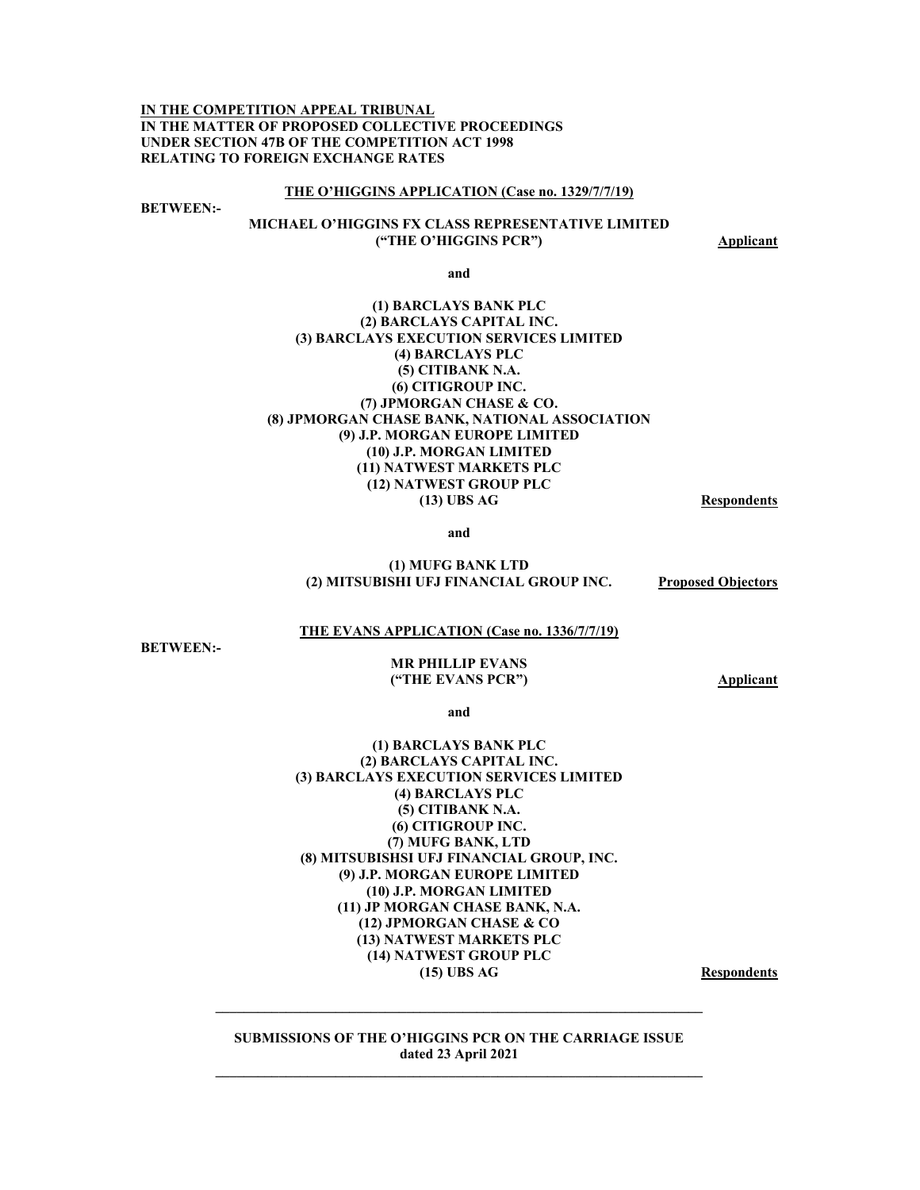**IN THE COMPETITION APPEAL TRIBUNAL IN THE MATTER OF PROPOSED COLLECTIVE PROCEEDINGS UNDER SECTION 47B OF THE COMPETITION ACT 1998 RELATING TO FOREIGN EXCHANGE RATES** 

#### **THE O'HIGGINS APPLICATION (Case no. 1329/7/7/19)**

**BETWEEN:-** 

### **MICHAEL O'HIGGINS FX CLASS REPRESENTATIVE LIMITED ("THE O'HIGGINS PCR")** Applicant

**and** 

#### **(1) BARCLAYS BANK PLC (2) BARCLAYS CAPITAL INC. (3) BARCLAYS EXECUTION SERVICES LIMITED (4) BARCLAYS PLC (5) CITIBANK N.A. (6) CITIGROUP INC. (7) JPMORGAN CHASE & CO. (8) JPMORGAN CHASE BANK, NATIONAL ASSOCIATION (9) J.P. MORGAN EUROPE LIMITED (10) J.P. MORGAN LIMITED (11) NATWEST MARKETS PLC (12) NATWEST GROUP PLC (13) UBS AG Respondents**

**and** 

#### **(1) MUFG BANK LTD (2) MITSUBISHI UFJ FINANCIAL GROUP INC. Proposed Objectors**

#### **THE EVANS APPLICATION (Case no. 1336/7/7/19)**

**BETWEEN:-** 

#### **MR PHILLIP EVANS ("THE EVANS PCR") Applicant**

**and** 

#### **(1) BARCLAYS BANK PLC (2) BARCLAYS CAPITAL INC. (3) BARCLAYS EXECUTION SERVICES LIMITED (4) BARCLAYS PLC (5) CITIBANK N.A. (6) CITIGROUP INC. (7) MUFG BANK, LTD (8) MITSUBISHSI UFJ FINANCIAL GROUP, INC. (9) J.P. MORGAN EUROPE LIMITED (10) J.P. MORGAN LIMITED (11) JP MORGAN CHASE BANK, N.A. (12) JPMORGAN CHASE & CO (13) NATWEST MARKETS PLC (14) NATWEST GROUP PLC**  (15) UBS AG Respondents

**SUBMISSIONS OF THE O'HIGGINS PCR ON THE CARRIAGE ISSUE dated 23 April 2021** 

**\_\_\_\_\_\_\_\_\_\_\_\_\_\_\_\_\_\_\_\_\_\_\_\_\_\_\_\_\_\_\_\_\_\_\_\_\_\_\_\_\_\_\_\_\_\_\_\_\_\_\_\_\_\_\_\_\_\_\_\_\_\_\_\_\_\_\_\_\_**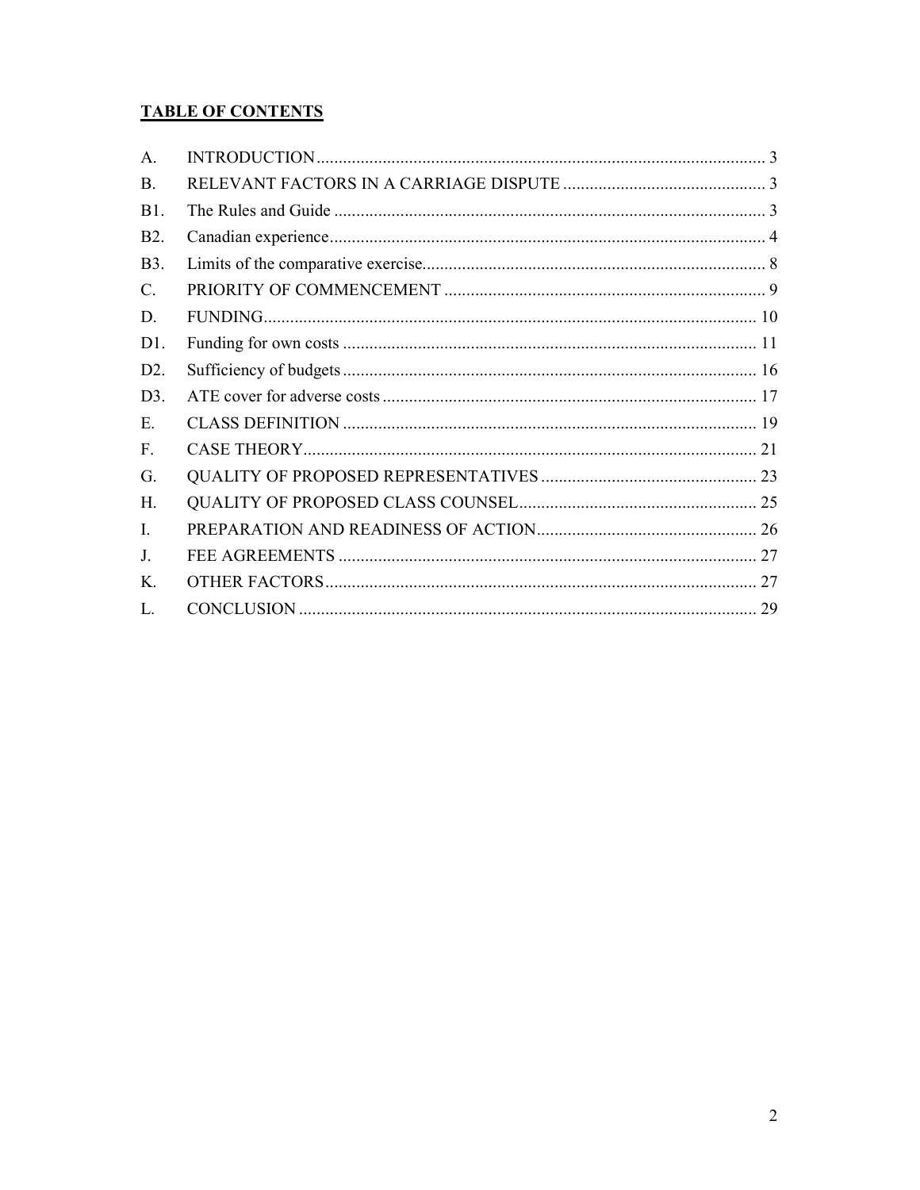# **TABLE OF CONTENTS**

| A.              |  |
|-----------------|--|
| <b>B.</b>       |  |
| B1.             |  |
| <b>B2.</b>      |  |
| <b>B</b> 3.     |  |
| $\mathcal{C}$ . |  |
| D.              |  |
| D1.             |  |
| D2.             |  |
| D3.             |  |
| E.              |  |
| F.              |  |
| G.              |  |
| H.              |  |
| I.              |  |
| J.              |  |
| Κ.              |  |
| L.              |  |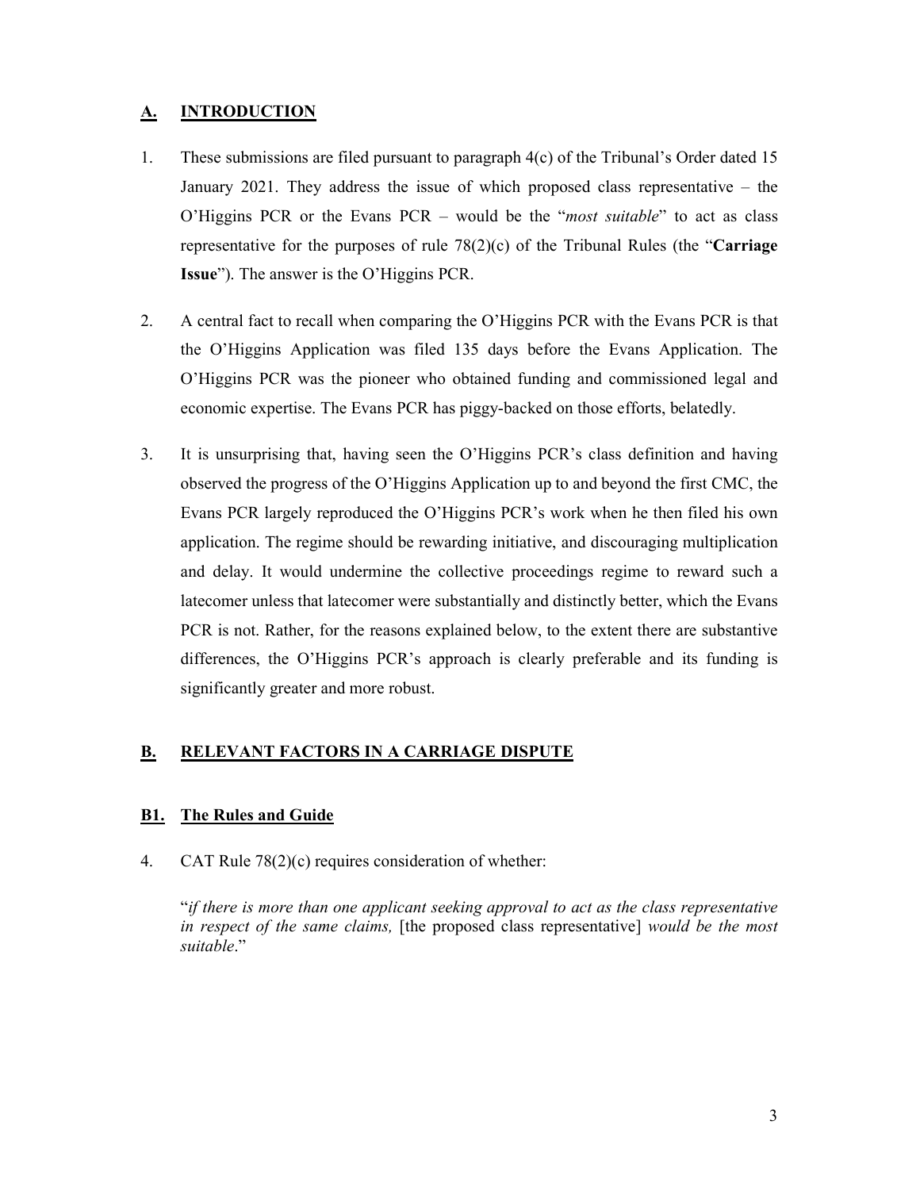# **A. INTRODUCTION**

- 1. These submissions are filed pursuant to paragraph  $4(c)$  of the Tribunal's Order dated 15 January 2021. They address the issue of which proposed class representative – the O'Higgins PCR or the Evans PCR – would be the "*most suitable*" to act as class representative for the purposes of rule 78(2)(c) of the Tribunal Rules (the "**Carriage Issue**"). The answer is the O'Higgins PCR.
- 2. A central fact to recall when comparing the O'Higgins PCR with the Evans PCR is that the O'Higgins Application was filed 135 days before the Evans Application. The O'Higgins PCR was the pioneer who obtained funding and commissioned legal and economic expertise. The Evans PCR has piggy-backed on those efforts, belatedly.
- 3. It is unsurprising that, having seen the O'Higgins PCR's class definition and having observed the progress of the O'Higgins Application up to and beyond the first CMC, the Evans PCR largely reproduced the O'Higgins PCR's work when he then filed his own application. The regime should be rewarding initiative, and discouraging multiplication and delay. It would undermine the collective proceedings regime to reward such a latecomer unless that latecomer were substantially and distinctly better, which the Evans PCR is not. Rather, for the reasons explained below, to the extent there are substantive differences, the O'Higgins PCR's approach is clearly preferable and its funding is significantly greater and more robust.

# **B. RELEVANT FACTORS IN A CARRIAGE DISPUTE**

## **B1. The Rules and Guide**

4. CAT Rule 78(2)(c) requires consideration of whether:

"*if there is more than one applicant seeking approval to act as the class representative in respect of the same claims,* [the proposed class representative] *would be the most suitable*."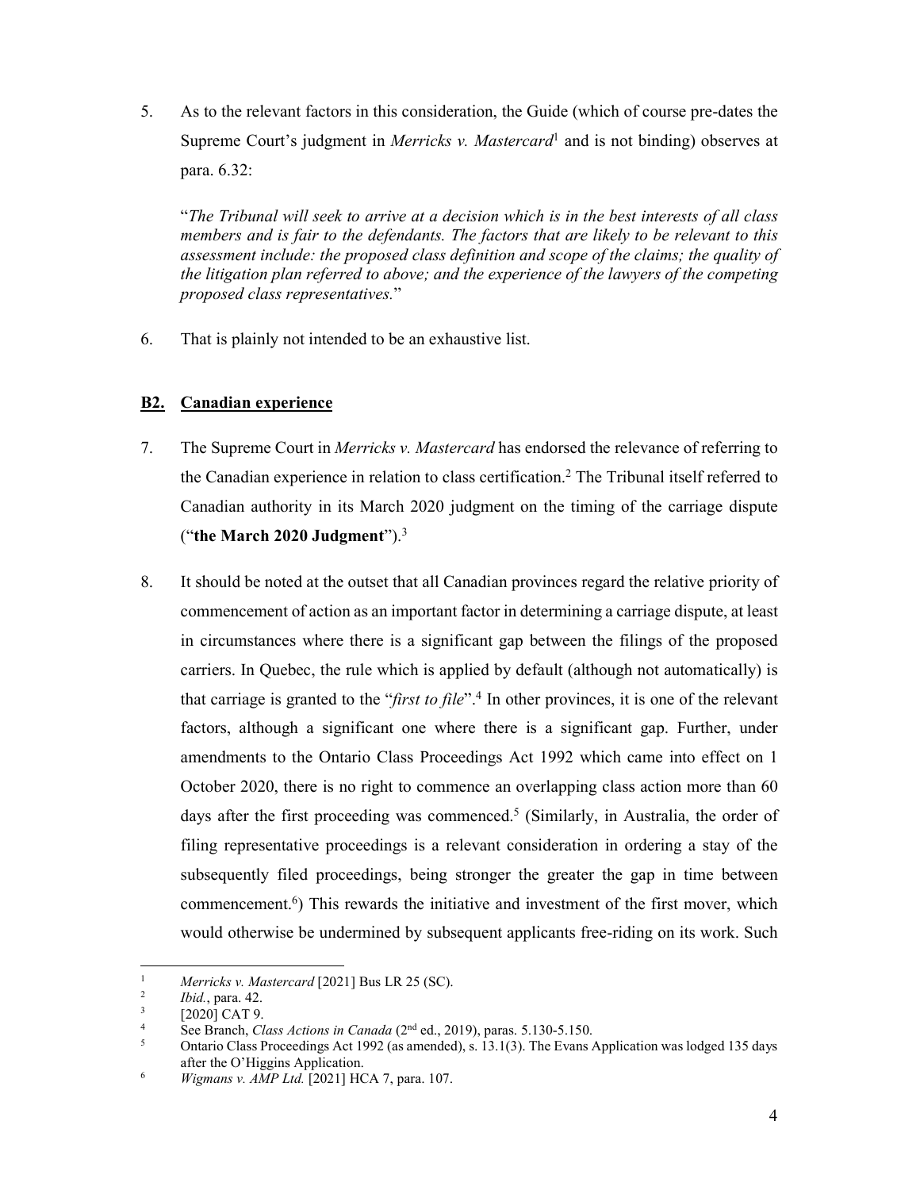5. As to the relevant factors in this consideration, the Guide (which of course pre-dates the Supreme Court's judgment in *Merricks v. Mastercard*<sup>1</sup> and is not binding) observes at para. 6.32:

"*The Tribunal will seek to arrive at a decision which is in the best interests of all class members and is fair to the defendants. The factors that are likely to be relevant to this assessment include: the proposed class definition and scope of the claims; the quality of the litigation plan referred to above; and the experience of the lawyers of the competing proposed class representatives.*"

6. That is plainly not intended to be an exhaustive list.

# **B2. Canadian experience**

- 7. The Supreme Court in *Merricks v. Mastercard* has endorsed the relevance of referring to the Canadian experience in relation to class certification.2 The Tribunal itself referred to Canadian authority in its March 2020 judgment on the timing of the carriage dispute ("**the March 2020 Judgment**").3
- 8. It should be noted at the outset that all Canadian provinces regard the relative priority of commencement of action as an important factor in determining a carriage dispute, at least in circumstances where there is a significant gap between the filings of the proposed carriers. In Quebec, the rule which is applied by default (although not automatically) is that carriage is granted to the "*first to file*".4 In other provinces, it is one of the relevant factors, although a significant one where there is a significant gap. Further, under amendments to the Ontario Class Proceedings Act 1992 which came into effect on 1 October 2020, there is no right to commence an overlapping class action more than 60 days after the first proceeding was commenced.<sup>5</sup> (Similarly, in Australia, the order of filing representative proceedings is a relevant consideration in ordering a stay of the subsequently filed proceedings, being stronger the greater the gap in time between commencement.6) This rewards the initiative and investment of the first mover, which would otherwise be undermined by subsequent applicants free-riding on its work. Such

<sup>1</sup> 1 *Merricks v. Mastercard* [2021] Bus LR 25 (SC).

 $\frac{2}{3}$  *Ibid.*, para. 42.<br><sup>3</sup> [2020] CAT 9

 <sup>[2020]</sup> CAT 9.

<sup>4</sup> See Branch, *Class Actions in Canada* (2<sup>nd</sup> ed., 2019), paras. 5.130-5.150.<br>
Optario Class Proceedings Act 1992 (as amended), s. 13.1(3). The Evans *k* 

Ontario Class Proceedings Act 1992 (as amended), s. 13.1(3). The Evans Application was lodged 135 days after the O'Higgins Application.

*Wigmans v. AMP Ltd.* [2021] HCA 7, para. 107.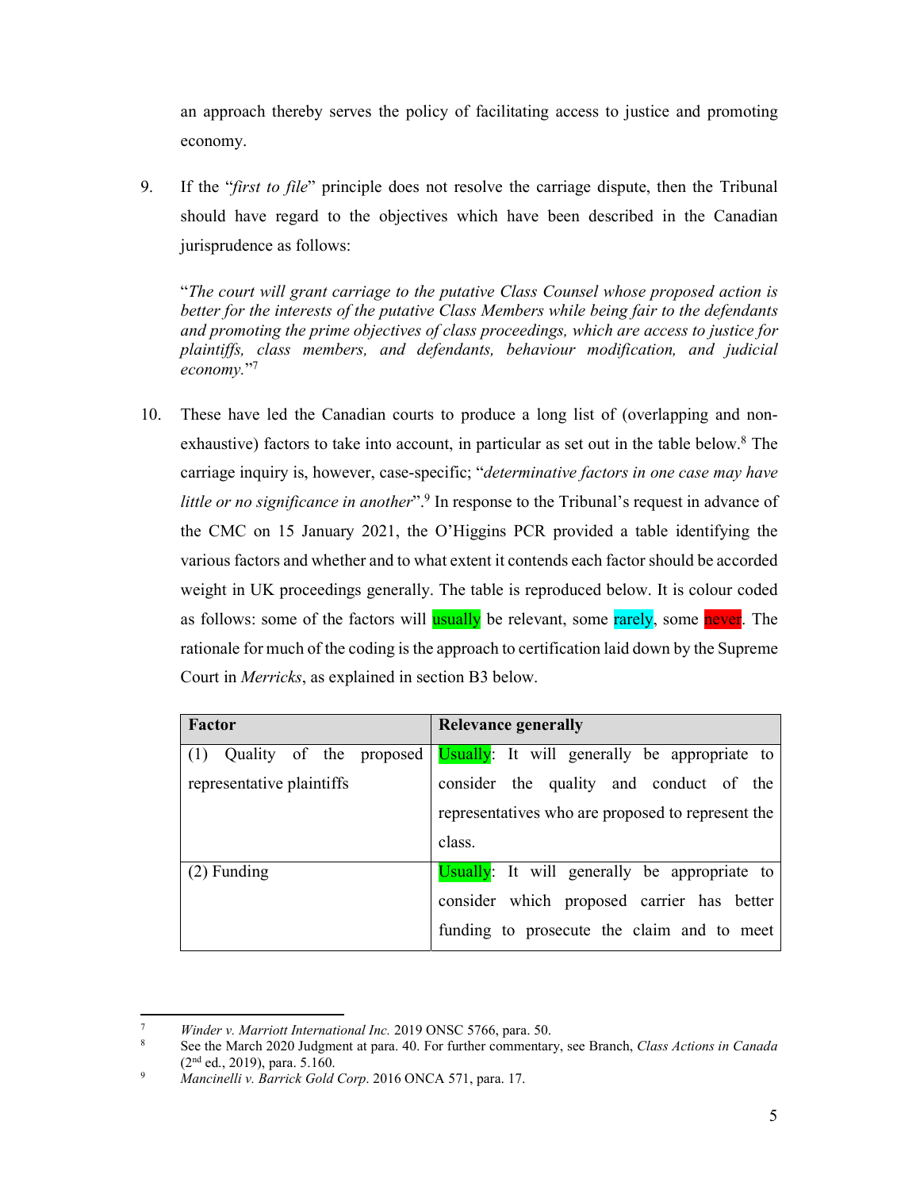an approach thereby serves the policy of facilitating access to justice and promoting economy.

9. If the "*first to file*" principle does not resolve the carriage dispute, then the Tribunal should have regard to the objectives which have been described in the Canadian jurisprudence as follows:

"*The court will grant carriage to the putative Class Counsel whose proposed action is better for the interests of the putative Class Members while being fair to the defendants and promoting the prime objectives of class proceedings, which are access to justice for plaintiffs, class members, and defendants, behaviour modification, and judicial economy.*"7

10. These have led the Canadian courts to produce a long list of (overlapping and nonexhaustive) factors to take into account, in particular as set out in the table below.<sup>8</sup> The carriage inquiry is, however, case-specific; "*determinative factors in one case may have little or no significance in another*".<sup>9</sup> In response to the Tribunal's request in advance of the CMC on 15 January 2021, the O'Higgins PCR provided a table identifying the various factors and whether and to what extent it contends each factor should be accorded weight in UK proceedings generally. The table is reproduced below. It is colour coded as follows: some of the factors will usually be relevant, some rarely, some never. The rationale for much of the coding is the approach to certification laid down by the Supreme Court in *Merricks*, as explained in section B3 below.

| Factor                         | <b>Relevance generally</b>                        |
|--------------------------------|---------------------------------------------------|
| (1)<br>Quality of the proposed | Usually: It will generally be appropriate to      |
| representative plaintiffs      | consider the quality and conduct of the           |
|                                | representatives who are proposed to represent the |
|                                | class.                                            |
| $(2)$ Funding                  | Usually: It will generally be appropriate to      |
|                                | consider which proposed carrier has better        |
|                                | funding to prosecute the claim and to meet        |

**.** 

<sup>7</sup> <sup>7</sup> *Winder v. Marriott International Inc.* 2019 ONSC 5766, para. 50.<br><sup>8</sup> See the March 2020 Judement at name 40. For further commentary

See the March 2020 Judgment at para. 40. For further commentary, see Branch, *Class Actions in Canada*  $(2<sup>nd</sup> ed., 2019)$ , para. 5.160.

*Mancinelli v. Barrick Gold Corp*. 2016 ONCA 571, para. 17.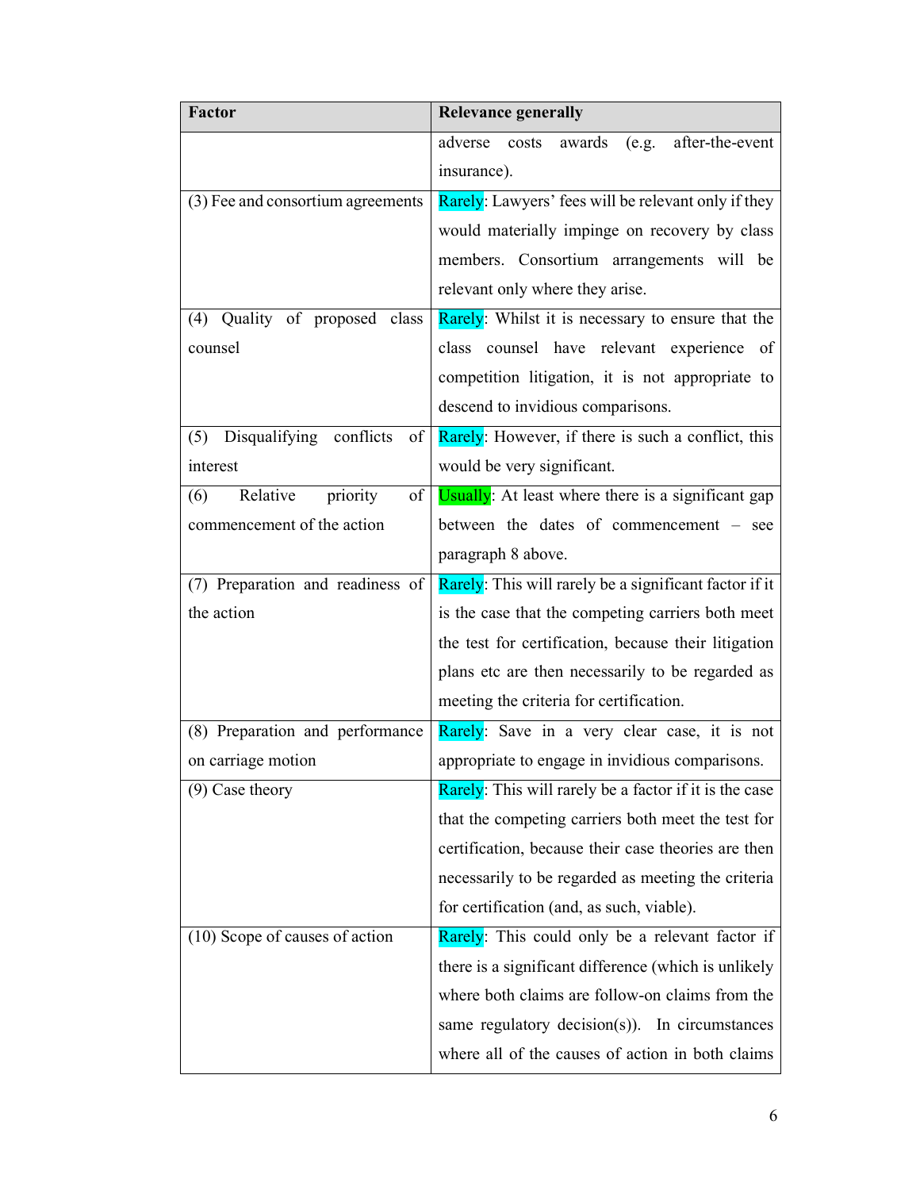| <b>Factor</b>                     | <b>Relevance generally</b>                             |
|-----------------------------------|--------------------------------------------------------|
|                                   | costs awards (e.g. after-the-event<br>adverse          |
|                                   | insurance).                                            |
| (3) Fee and consortium agreements | Rarely: Lawyers' fees will be relevant only if they    |
|                                   | would materially impinge on recovery by class          |
|                                   | members. Consortium arrangements will be               |
|                                   | relevant only where they arise.                        |
| (4) Quality of proposed class     | Rarely: Whilst it is necessary to ensure that the      |
| counsel                           | class counsel have relevant experience of              |
|                                   | competition litigation, it is not appropriate to       |
|                                   | descend to invidious comparisons.                      |
| (5) Disqualifying conflicts<br>of | Rarely: However, if there is such a conflict, this     |
| interest                          | would be very significant.                             |
| Relative<br>of<br>priority<br>(6) | Usually: At least where there is a significant gap     |
| commencement of the action        | between the dates of commencement - see                |
|                                   | paragraph 8 above.                                     |
| (7) Preparation and readiness of  | Rarely: This will rarely be a significant factor if it |
| the action                        | is the case that the competing carriers both meet      |
|                                   | the test for certification, because their litigation   |
|                                   | plans etc are then necessarily to be regarded as       |
|                                   | meeting the criteria for certification.                |
| (8) Preparation and performance   | Rarely: Save in a very clear case, it is not           |
| on carriage motion                | appropriate to engage in invidious comparisons.        |
| $(9)$ Case theory                 | Rarely: This will rarely be a factor if it is the case |
|                                   | that the competing carriers both meet the test for     |
|                                   | certification, because their case theories are then    |
|                                   | necessarily to be regarded as meeting the criteria     |
|                                   | for certification (and, as such, viable).              |
| $(10)$ Scope of causes of action  | Rarely: This could only be a relevant factor if        |
|                                   | there is a significant difference (which is unlikely   |
|                                   | where both claims are follow-on claims from the        |
|                                   | same regulatory decision(s)). In circumstances         |
|                                   | where all of the causes of action in both claims       |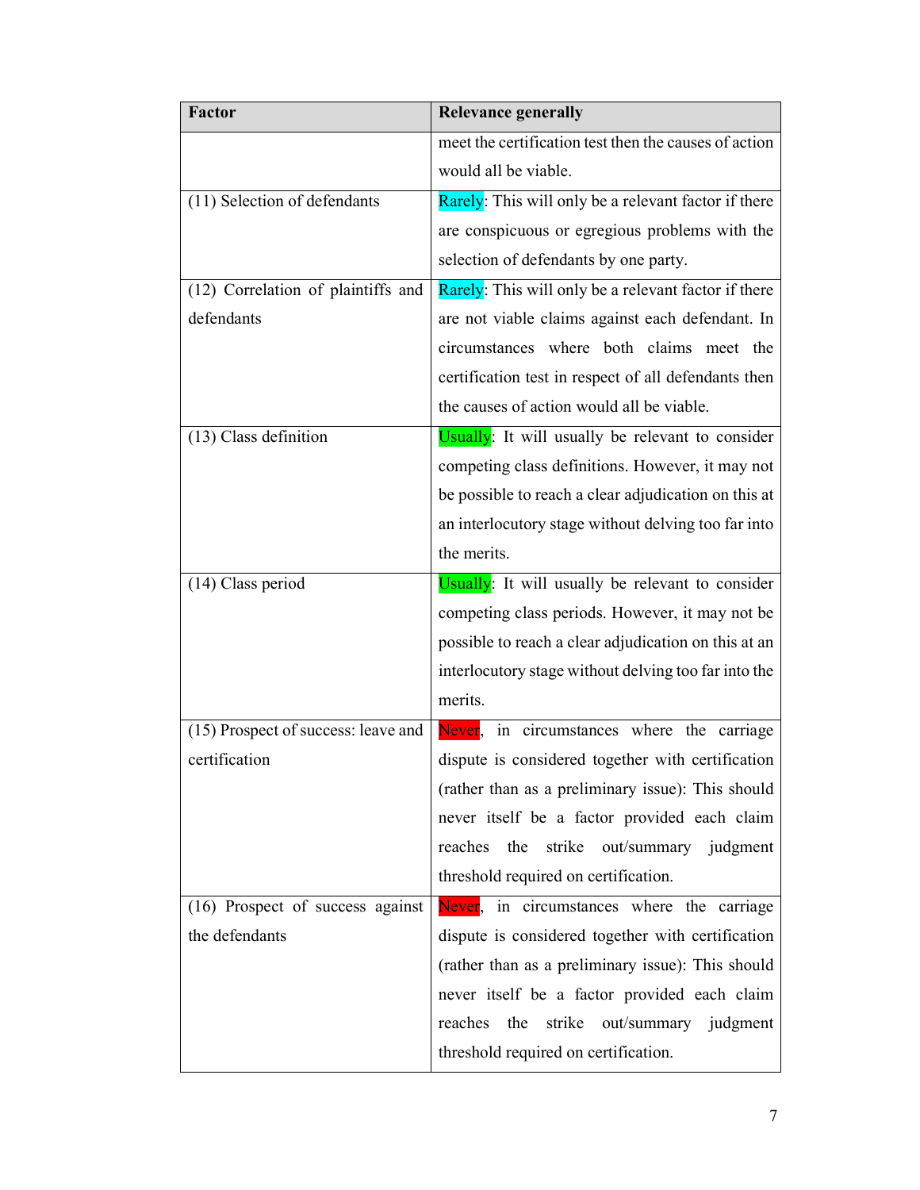| <b>Factor</b>                       | <b>Relevance generally</b>                            |
|-------------------------------------|-------------------------------------------------------|
|                                     | meet the certification test then the causes of action |
|                                     | would all be viable.                                  |
| (11) Selection of defendants        | Rarely: This will only be a relevant factor if there  |
|                                     | are conspicuous or egregious problems with the        |
|                                     | selection of defendants by one party.                 |
| (12) Correlation of plaintiffs and  | Rarely: This will only be a relevant factor if there  |
| defendants                          | are not viable claims against each defendant. In      |
|                                     | circumstances where both claims meet the              |
|                                     | certification test in respect of all defendants then  |
|                                     | the causes of action would all be viable.             |
| (13) Class definition               | Usually: It will usually be relevant to consider      |
|                                     | competing class definitions. However, it may not      |
|                                     | be possible to reach a clear adjudication on this at  |
|                                     | an interlocutory stage without delving too far into   |
|                                     | the merits.                                           |
| (14) Class period                   | Usually: It will usually be relevant to consider      |
|                                     | competing class periods. However, it may not be       |
|                                     | possible to reach a clear adjudication on this at an  |
|                                     | interlocutory stage without delving too far into the  |
|                                     | merits.                                               |
| (15) Prospect of success: leave and | Never, in circumstances where the carriage            |
| certification                       | dispute is considered together with certification     |
|                                     | (rather than as a preliminary issue): This should     |
|                                     | never itself be a factor provided each claim          |
|                                     | reaches<br>the<br>strike<br>out/summary judgment      |
|                                     | threshold required on certification.                  |
| (16) Prospect of success against    | Never, in circumstances where the carriage            |
| the defendants                      | dispute is considered together with certification     |
|                                     | (rather than as a preliminary issue): This should     |
|                                     | never itself be a factor provided each claim          |
|                                     | reaches<br>the<br>strike<br>out/summary judgment      |
|                                     | threshold required on certification.                  |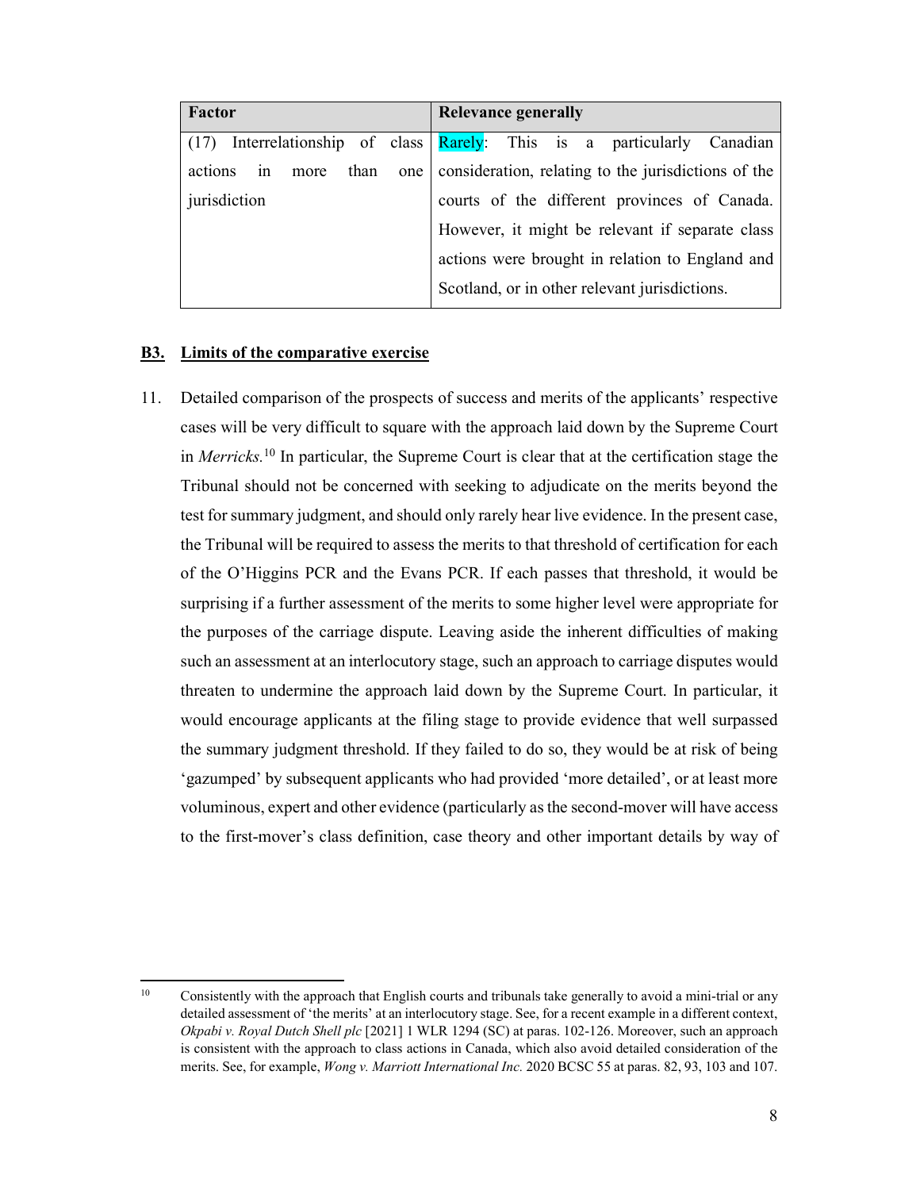| <b>Factor</b>           | <b>Relevance generally</b>                                         |
|-------------------------|--------------------------------------------------------------------|
| (17)                    | Interrelationship of class Rarely: This is a particularly Canadian |
| actions in<br>more than | one   consideration, relating to the jurisdictions of the          |
| jurisdiction            | courts of the different provinces of Canada.                       |
|                         | However, it might be relevant if separate class                    |
|                         | actions were brought in relation to England and                    |
|                         | Scotland, or in other relevant jurisdictions.                      |

# **B3. Limits of the comparative exercise**

11. Detailed comparison of the prospects of success and merits of the applicants' respective cases will be very difficult to square with the approach laid down by the Supreme Court in *Merricks.*10 In particular, the Supreme Court is clear that at the certification stage the Tribunal should not be concerned with seeking to adjudicate on the merits beyond the test for summary judgment, and should only rarely hear live evidence. In the present case, the Tribunal will be required to assess the merits to that threshold of certification for each of the O'Higgins PCR and the Evans PCR. If each passes that threshold, it would be surprising if a further assessment of the merits to some higher level were appropriate for the purposes of the carriage dispute. Leaving aside the inherent difficulties of making such an assessment at an interlocutory stage, such an approach to carriage disputes would threaten to undermine the approach laid down by the Supreme Court. In particular, it would encourage applicants at the filing stage to provide evidence that well surpassed the summary judgment threshold. If they failed to do so, they would be at risk of being 'gazumped' by subsequent applicants who had provided 'more detailed', or at least more voluminous, expert and other evidence (particularly as the second-mover will have access to the first-mover's class definition, case theory and other important details by way of

 $10<sup>1</sup>$ 10 Consistently with the approach that English courts and tribunals take generally to avoid a mini-trial or any detailed assessment of 'the merits' at an interlocutory stage. See, for a recent example in a different context, *Okpabi v. Royal Dutch Shell plc* [2021] 1 WLR 1294 (SC) at paras. 102-126. Moreover, such an approach is consistent with the approach to class actions in Canada, which also avoid detailed consideration of the merits. See, for example, *Wong v. Marriott International Inc.* 2020 BCSC 55 at paras. 82, 93, 103 and 107.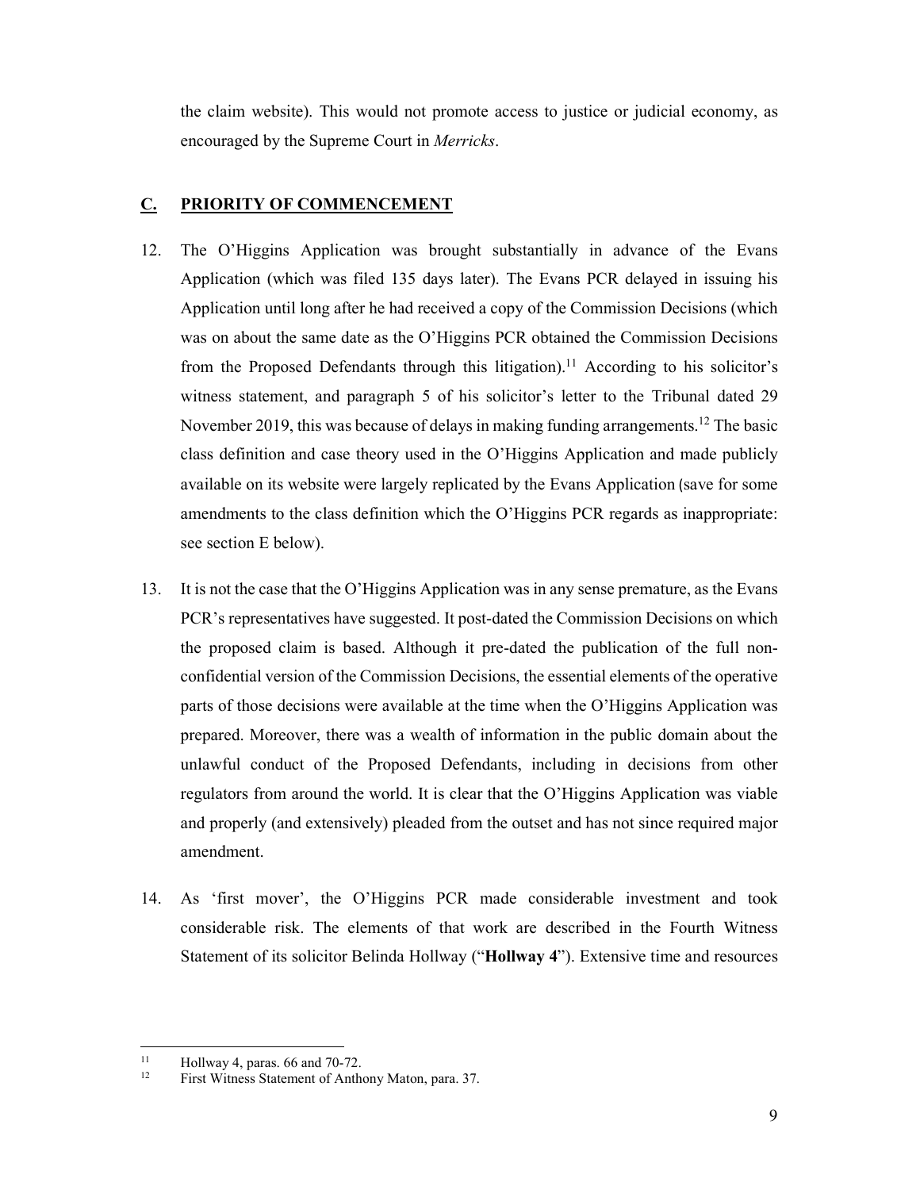the claim website). This would not promote access to justice or judicial economy, as encouraged by the Supreme Court in *Merricks*.

## **C. PRIORITY OF COMMENCEMENT**

- 12. The O'Higgins Application was brought substantially in advance of the Evans Application (which was filed 135 days later). The Evans PCR delayed in issuing his Application until long after he had received a copy of the Commission Decisions (which was on about the same date as the O'Higgins PCR obtained the Commission Decisions from the Proposed Defendants through this litigation).<sup>11</sup> According to his solicitor's witness statement, and paragraph 5 of his solicitor's letter to the Tribunal dated 29 November 2019, this was because of delays in making funding arrangements.<sup>12</sup> The basic class definition and case theory used in the O'Higgins Application and made publicly available on its website were largely replicated by the Evans Application (save for some amendments to the class definition which the O'Higgins PCR regards as inappropriate: see section E below).
- 13. It is not the case that the O'Higgins Application was in any sense premature, as the Evans PCR's representatives have suggested. It post-dated the Commission Decisions on which the proposed claim is based. Although it pre-dated the publication of the full nonconfidential version of the Commission Decisions, the essential elements of the operative parts of those decisions were available at the time when the O'Higgins Application was prepared. Moreover, there was a wealth of information in the public domain about the unlawful conduct of the Proposed Defendants, including in decisions from other regulators from around the world. It is clear that the O'Higgins Application was viable and properly (and extensively) pleaded from the outset and has not since required major amendment.
- 14. As 'first mover', the O'Higgins PCR made considerable investment and took considerable risk. The elements of that work are described in the Fourth Witness Statement of its solicitor Belinda Hollway ("**Hollway 4**"). Extensive time and resources

 $11$ <sup>11</sup> Hollway 4, paras. 66 and 70-72.

First Witness Statement of Anthony Maton, para. 37.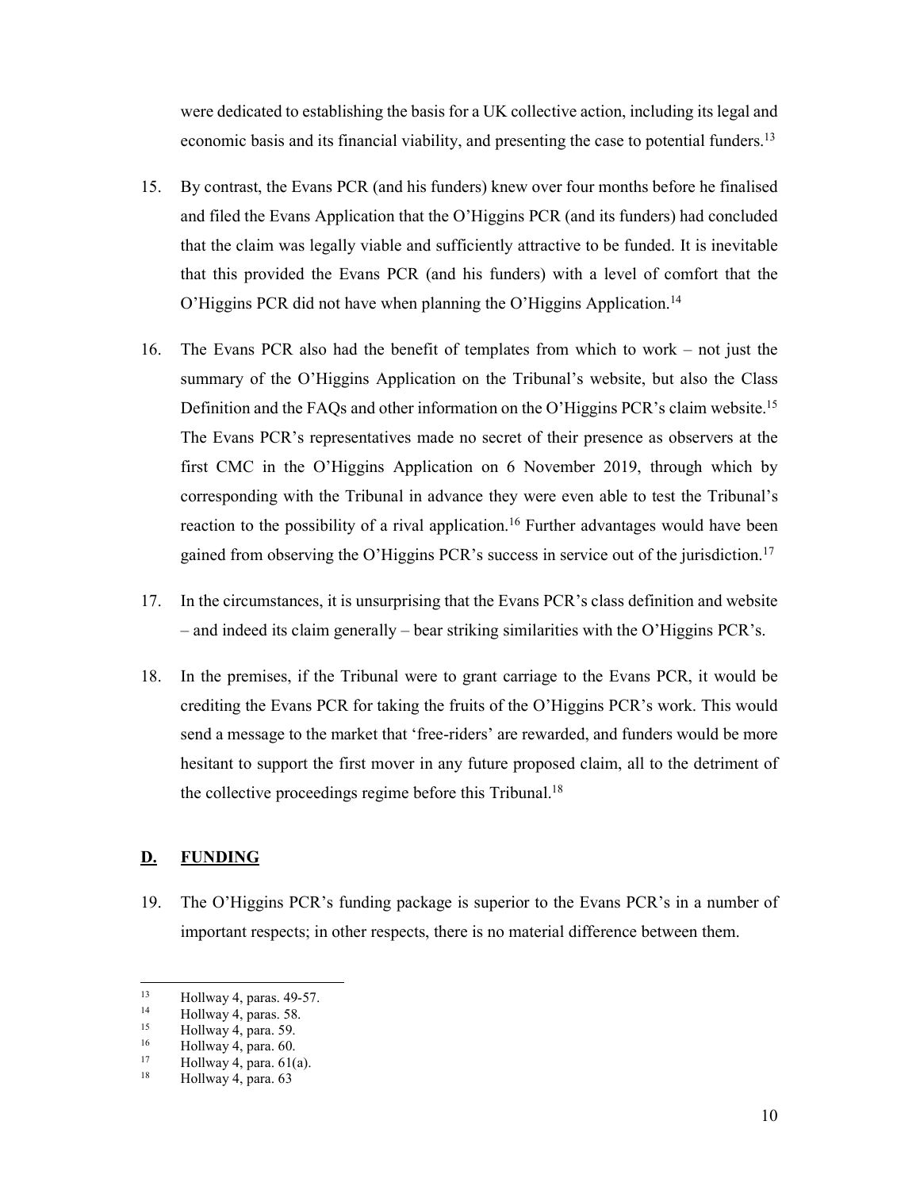were dedicated to establishing the basis for a UK collective action, including its legal and economic basis and its financial viability, and presenting the case to potential funders.<sup>13</sup>

- 15. By contrast, the Evans PCR (and his funders) knew over four months before he finalised and filed the Evans Application that the O'Higgins PCR (and its funders) had concluded that the claim was legally viable and sufficiently attractive to be funded. It is inevitable that this provided the Evans PCR (and his funders) with a level of comfort that the O'Higgins PCR did not have when planning the O'Higgins Application.14
- 16. The Evans PCR also had the benefit of templates from which to work not just the summary of the O'Higgins Application on the Tribunal's website, but also the Class Definition and the FAQs and other information on the O'Higgins PCR's claim website.<sup>15</sup> The Evans PCR's representatives made no secret of their presence as observers at the first CMC in the O'Higgins Application on 6 November 2019, through which by corresponding with the Tribunal in advance they were even able to test the Tribunal's reaction to the possibility of a rival application.<sup>16</sup> Further advantages would have been gained from observing the O'Higgins PCR's success in service out of the jurisdiction.17
- 17. In the circumstances, it is unsurprising that the Evans PCR's class definition and website – and indeed its claim generally – bear striking similarities with the O'Higgins PCR's.
- 18. In the premises, if the Tribunal were to grant carriage to the Evans PCR, it would be crediting the Evans PCR for taking the fruits of the O'Higgins PCR's work. This would send a message to the market that 'free-riders' are rewarded, and funders would be more hesitant to support the first mover in any future proposed claim, all to the detriment of the collective proceedings regime before this Tribunal.<sup>18</sup>

## **D. FUNDING**

19. The O'Higgins PCR's funding package is superior to the Evans PCR's in a number of important respects; in other respects, there is no material difference between them.

 $13$ <sup>13</sup> Hollway 4, paras.  $49-57$ .<br><sup>14</sup> Hollway 4 paras. 58

<sup>&</sup>lt;sup>14</sup> Hollway 4, paras. 58.<br> $\frac{15}{15}$  Hollway 4, para. 59.

<sup>&</sup>lt;sup>15</sup> Hollway 4, para. 59.<br> $^{16}$  Hollway 4, para. 60

 $^{16}$  Hollway 4, para. 60.<br> $^{17}$  Hollway 4, para. 61(

<sup>&</sup>lt;sup>17</sup> Hollway 4, para.  $61(a)$ .<br><sup>18</sup> Hollway 4, para.  $62$ 

Hollway 4, para. 63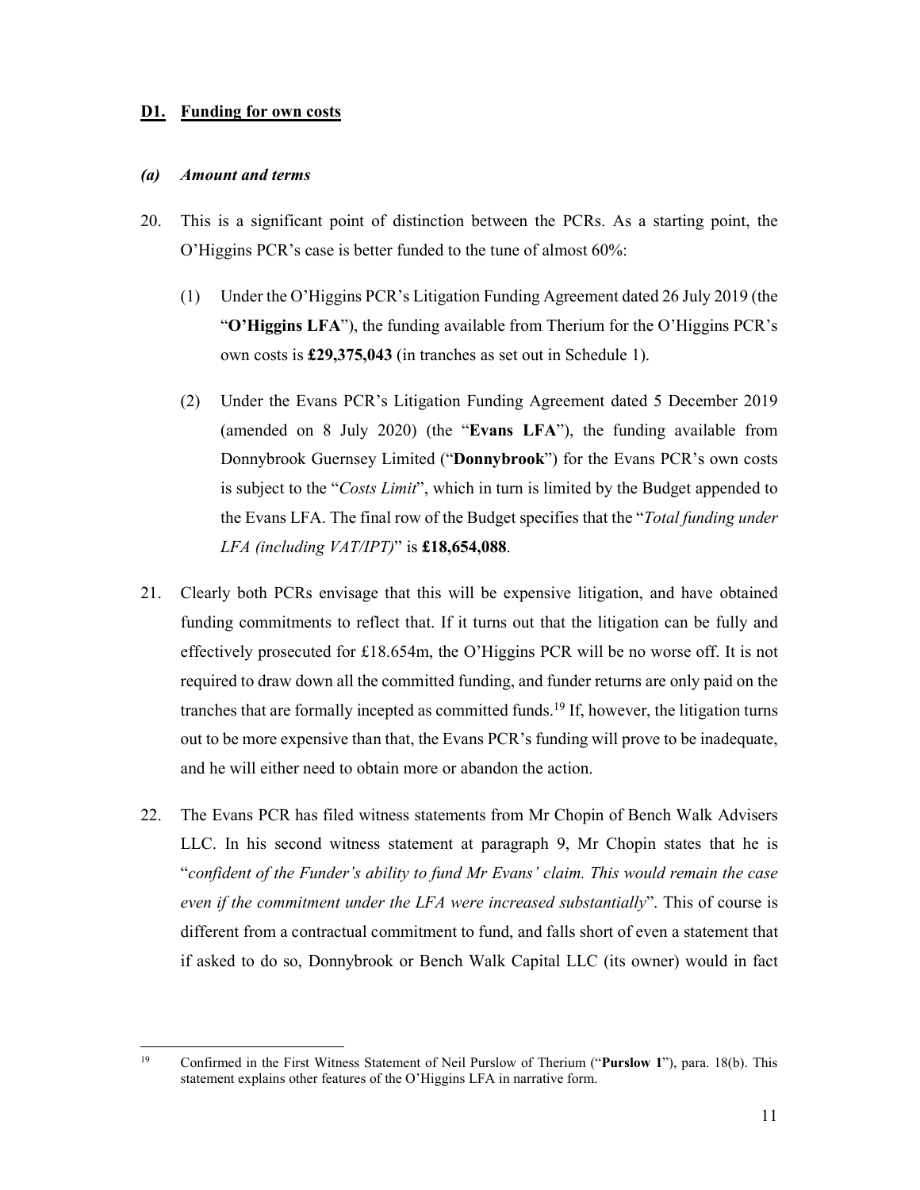### **D1. Funding for own costs**

#### *(a) Amount and terms*

- 20. This is a significant point of distinction between the PCRs. As a starting point, the O'Higgins PCR's case is better funded to the tune of almost 60%:
	- (1) Under the O'Higgins PCR's Litigation Funding Agreement dated 26 July 2019 (the "**O'Higgins LFA**"), the funding available from Therium for the O'Higgins PCR's own costs is **£29,375,043** (in tranches as set out in Schedule 1).
	- (2) Under the Evans PCR's Litigation Funding Agreement dated 5 December 2019 (amended on 8 July 2020) (the "**Evans LFA**"), the funding available from Donnybrook Guernsey Limited ("**Donnybrook**") for the Evans PCR's own costs is subject to the "*Costs Limit*", which in turn is limited by the Budget appended to the Evans LFA. The final row of the Budget specifies that the "*Total funding under LFA (including VAT/IPT)*" is **£18,654,088**.
- 21. Clearly both PCRs envisage that this will be expensive litigation, and have obtained funding commitments to reflect that. If it turns out that the litigation can be fully and effectively prosecuted for £18.654m, the O'Higgins PCR will be no worse off. It is not required to draw down all the committed funding, and funder returns are only paid on the tranches that are formally incepted as committed funds.<sup>19</sup> If, however, the litigation turns out to be more expensive than that, the Evans PCR's funding will prove to be inadequate, and he will either need to obtain more or abandon the action.
- 22. The Evans PCR has filed witness statements from Mr Chopin of Bench Walk Advisers LLC. In his second witness statement at paragraph 9, Mr Chopin states that he is "*confident of the Funder's ability to fund Mr Evans' claim. This would remain the case even if the commitment under the LFA were increased substantially*". This of course is different from a contractual commitment to fund, and falls short of even a statement that if asked to do so, Donnybrook or Bench Walk Capital LLC (its owner) would in fact

<sup>19</sup> 19 Confirmed in the First Witness Statement of Neil Purslow of Therium ("**Purslow 1**"), para. 18(b). This statement explains other features of the O'Higgins LFA in narrative form.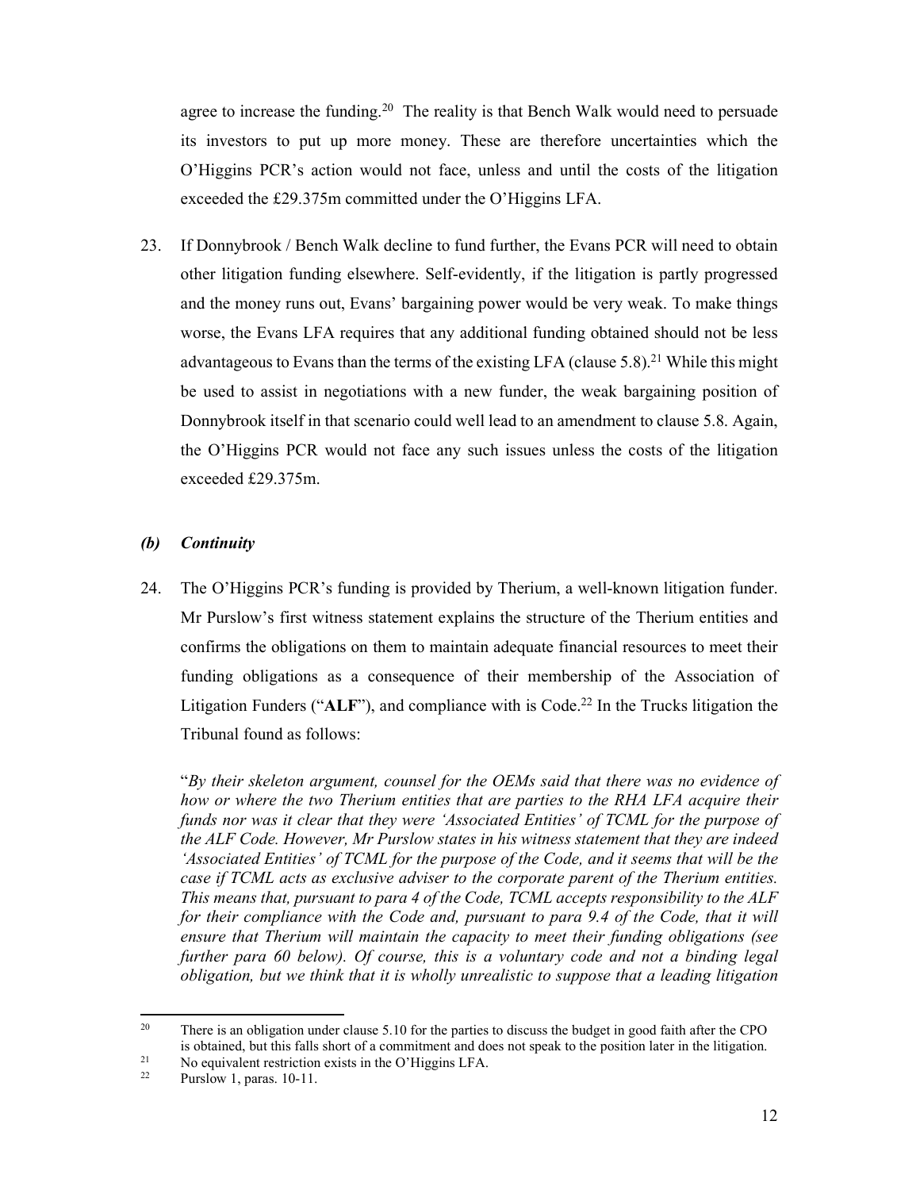agree to increase the funding.<sup>20</sup> The reality is that Bench Walk would need to persuade its investors to put up more money. These are therefore uncertainties which the O'Higgins PCR's action would not face, unless and until the costs of the litigation exceeded the £29.375m committed under the O'Higgins LFA.

23. If Donnybrook / Bench Walk decline to fund further, the Evans PCR will need to obtain other litigation funding elsewhere. Self-evidently, if the litigation is partly progressed and the money runs out, Evans' bargaining power would be very weak. To make things worse, the Evans LFA requires that any additional funding obtained should not be less advantageous to Evans than the terms of the existing LFA (clause 5.8).<sup>21</sup> While this might be used to assist in negotiations with a new funder, the weak bargaining position of Donnybrook itself in that scenario could well lead to an amendment to clause 5.8. Again, the O'Higgins PCR would not face any such issues unless the costs of the litigation exceeded £29.375m.

### *(b) Continuity*

24. The O'Higgins PCR's funding is provided by Therium, a well-known litigation funder. Mr Purslow's first witness statement explains the structure of the Therium entities and confirms the obligations on them to maintain adequate financial resources to meet their funding obligations as a consequence of their membership of the Association of Litigation Funders ("ALF"), and compliance with is Code.<sup>22</sup> In the Trucks litigation the Tribunal found as follows:

"*By their skeleton argument, counsel for the OEMs said that there was no evidence of how or where the two Therium entities that are parties to the RHA LFA acquire their funds nor was it clear that they were 'Associated Entities' of TCML for the purpose of the ALF Code. However, Mr Purslow states in his witness statement that they are indeed 'Associated Entities' of TCML for the purpose of the Code, and it seems that will be the case if TCML acts as exclusive adviser to the corporate parent of the Therium entities. This means that, pursuant to para 4 of the Code, TCML accepts responsibility to the ALF*  for their compliance with the Code and, pursuant to para 9.4 of the Code, that it will *ensure that Therium will maintain the capacity to meet their funding obligations (see further para 60 below). Of course, this is a voluntary code and not a binding legal obligation, but we think that it is wholly unrealistic to suppose that a leading litigation* 

<sup>20</sup> There is an obligation under clause 5.10 for the parties to discuss the budget in good faith after the CPO is obtained, but this falls short of a commitment and does not speak to the position later in the litigation.<br><sup>21</sup> No equivalent restriction exists in the O'Higgins LFA.<br><sup>22</sup> Normalay 1, nones 10, 11.

Purslow 1, paras. 10-11.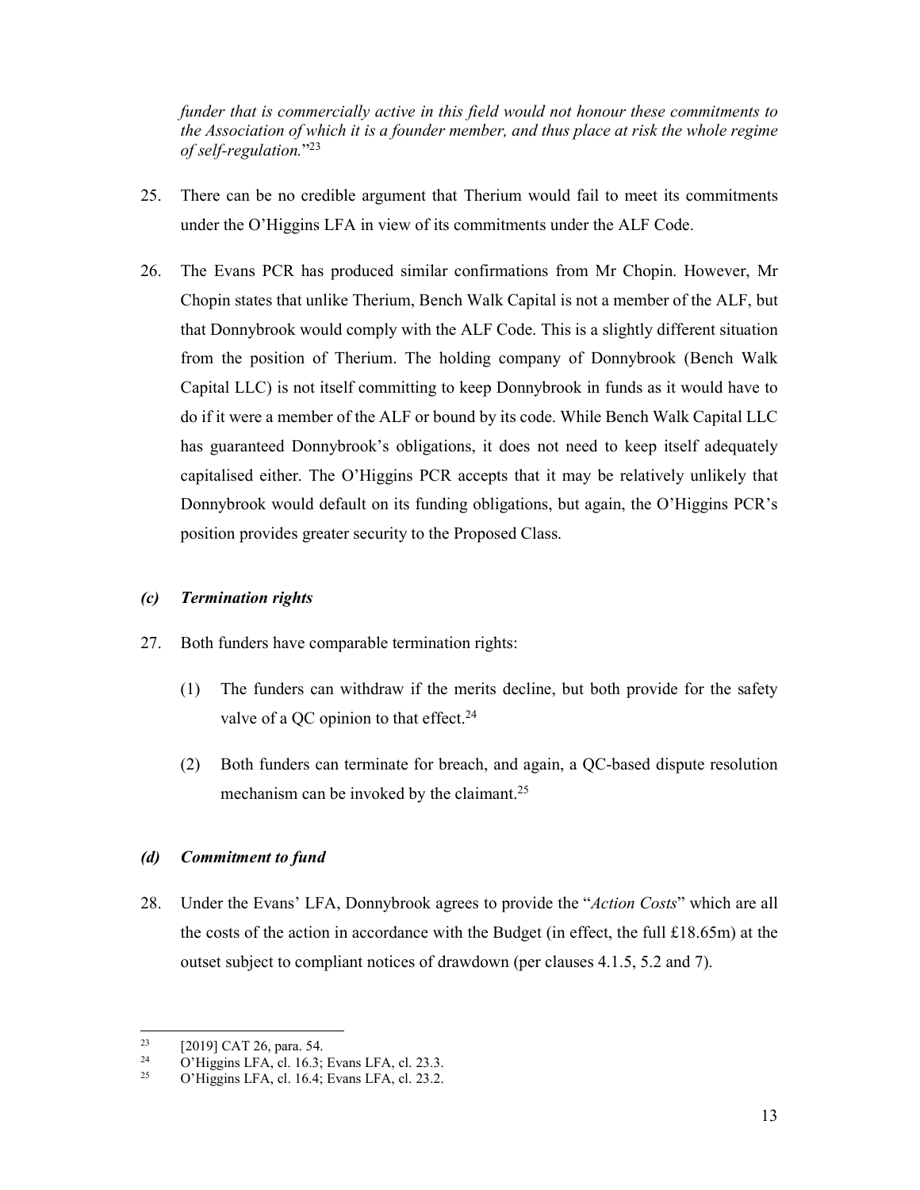*funder that is commercially active in this field would not honour these commitments to the Association of which it is a founder member, and thus place at risk the whole regime of self-regulation.*"23

- 25. There can be no credible argument that Therium would fail to meet its commitments under the O'Higgins LFA in view of its commitments under the ALF Code.
- 26. The Evans PCR has produced similar confirmations from Mr Chopin. However, Mr Chopin states that unlike Therium, Bench Walk Capital is not a member of the ALF, but that Donnybrook would comply with the ALF Code. This is a slightly different situation from the position of Therium. The holding company of Donnybrook (Bench Walk Capital LLC) is not itself committing to keep Donnybrook in funds as it would have to do if it were a member of the ALF or bound by its code. While Bench Walk Capital LLC has guaranteed Donnybrook's obligations, it does not need to keep itself adequately capitalised either. The O'Higgins PCR accepts that it may be relatively unlikely that Donnybrook would default on its funding obligations, but again, the O'Higgins PCR's position provides greater security to the Proposed Class.

### *(c) Termination rights*

- 27. Both funders have comparable termination rights:
	- (1) The funders can withdraw if the merits decline, but both provide for the safety valve of a QC opinion to that effect.<sup>24</sup>
	- (2) Both funders can terminate for breach, and again, a QC-based dispute resolution mechanism can be invoked by the claimant.<sup>25</sup>

### *(d) Commitment to fund*

28. Under the Evans' LFA, Donnybrook agrees to provide the "*Action Costs*" which are all the costs of the action in accordance with the Budget (in effect, the full  $\pounds18.65m$ ) at the outset subject to compliant notices of drawdown (per clauses 4.1.5, 5.2 and 7).

 $23$ <sup>23</sup> [2019] CAT 26, para. 54.<br><sup>24</sup> O'Higgins I EA el 16.3:

<sup>&</sup>lt;sup>24</sup> O'Higgins LFA, cl. 16.3; Evans LFA, cl. 23.3.<br>
C'Uliacins LFA, el. 16.4; Evans LFA, el. 23.2.

<sup>25</sup> O'Higgins LFA, cl. 16.4; Evans LFA, cl. 23.2.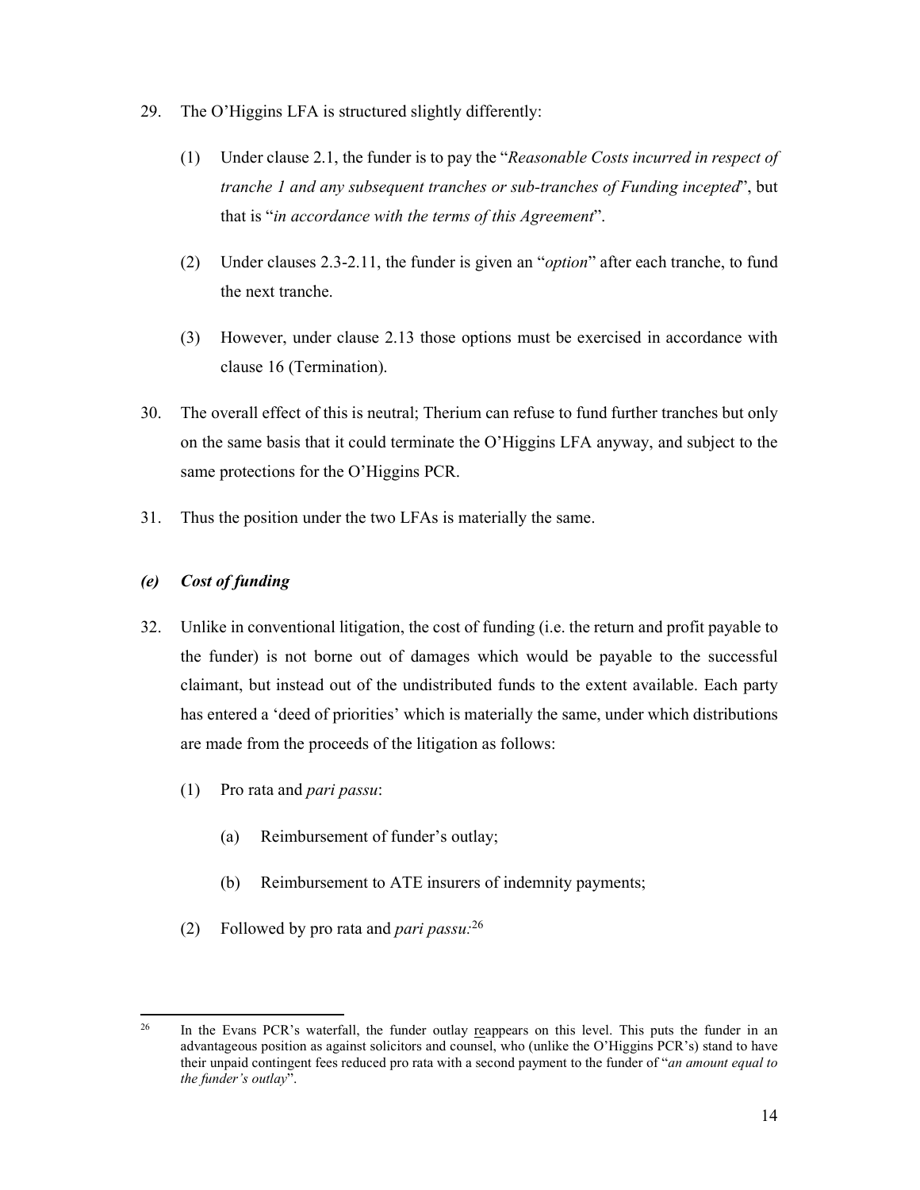- 29. The O'Higgins LFA is structured slightly differently:
	- (1) Under clause 2.1, the funder is to pay the "*Reasonable Costs incurred in respect of tranche 1 and any subsequent tranches or sub-tranches of Funding incepted*", but that is "*in accordance with the terms of this Agreement*".
	- (2) Under clauses 2.3-2.11, the funder is given an "*option*" after each tranche, to fund the next tranche.
	- (3) However, under clause 2.13 those options must be exercised in accordance with clause 16 (Termination).
- 30. The overall effect of this is neutral; Therium can refuse to fund further tranches but only on the same basis that it could terminate the O'Higgins LFA anyway, and subject to the same protections for the O'Higgins PCR.
- 31. Thus the position under the two LFAs is materially the same.

# *(e) Cost of funding*

- 32. Unlike in conventional litigation, the cost of funding (i.e. the return and profit payable to the funder) is not borne out of damages which would be payable to the successful claimant, but instead out of the undistributed funds to the extent available. Each party has entered a 'deed of priorities' which is materially the same, under which distributions are made from the proceeds of the litigation as follows:
	- (1) Pro rata and *pari passu*:
		- (a) Reimbursement of funder's outlay;
		- (b) Reimbursement to ATE insurers of indemnity payments;
	- (2) Followed by pro rata and *pari passu:*<sup>26</sup>

 $26$ In the Evans PCR's waterfall, the funder outlay reappears on this level. This puts the funder in an advantageous position as against solicitors and counsel, who (unlike the O'Higgins PCR's) stand to have their unpaid contingent fees reduced pro rata with a second payment to the funder of "*an amount equal to the funder's outlay*".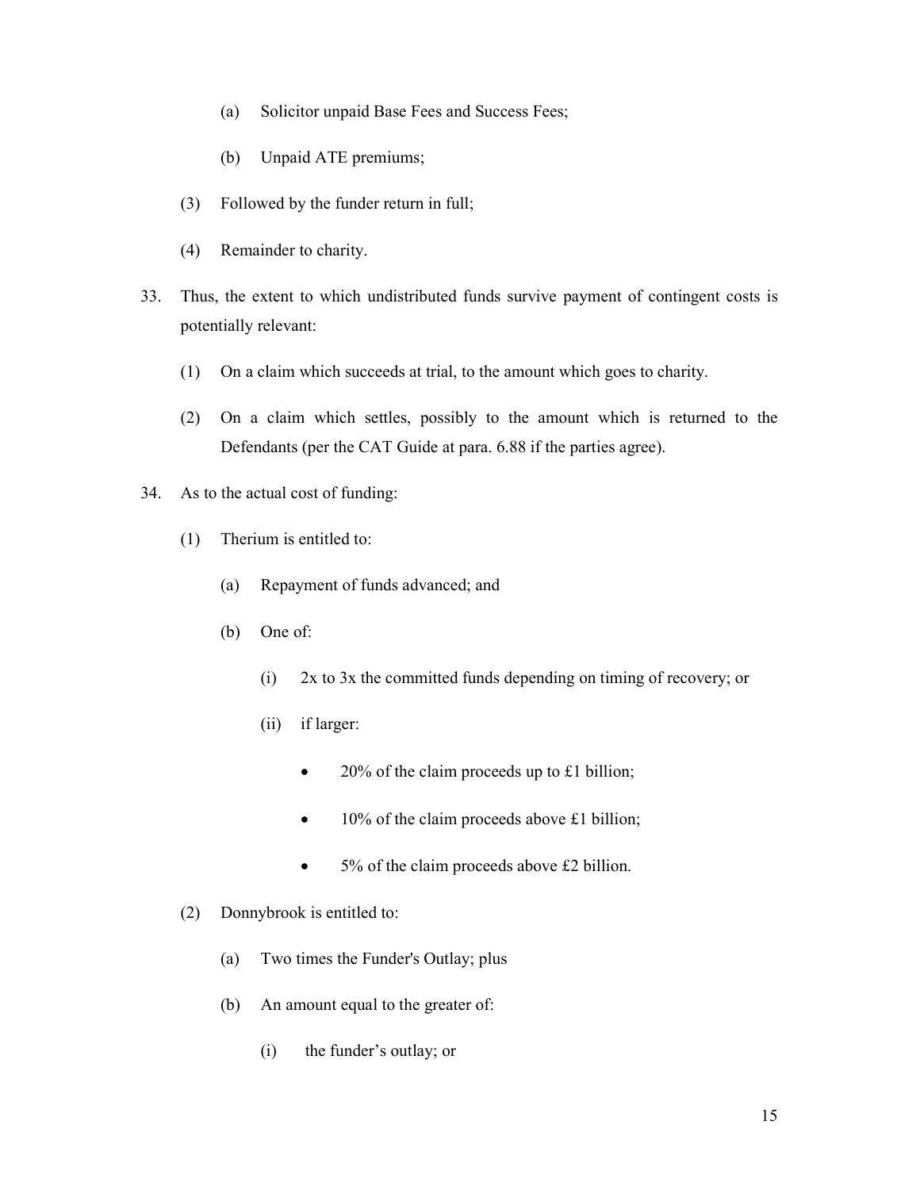- (a) Solicitor unpaid Base Fees and Success Fees;
- (b) Unpaid ATE premiums;
- (3) Followed by the funder return in full;
- (4) Remainder to charity.
- 33. Thus, the extent to which undistributed funds survive payment of contingent costs is potentially relevant:
	- (1) On a claim which succeeds at trial, to the amount which goes to charity.
	- (2) On a claim which settles, possibly to the amount which is returned to the Defendants (per the CAT Guide at para. 6.88 if the parties agree).
- 34. As to the actual cost of funding:
	- (1) Therium is entitled to:
		- (a) Repayment of funds advanced; and
		- (b) One of:
			- (i) 2x to 3x the committed funds depending on timing of recovery; or
			- (ii) if larger:
				- 20% of the claim proceeds up to £1 billion;
				- 10% of the claim proceeds above £1 billion;
				- 5% of the claim proceeds above £2 billion.
	- (2) Donnybrook is entitled to:
		- (a) Two times the Funder's Outlay; plus
		- (b) An amount equal to the greater of:
			- (i) the funder's outlay; or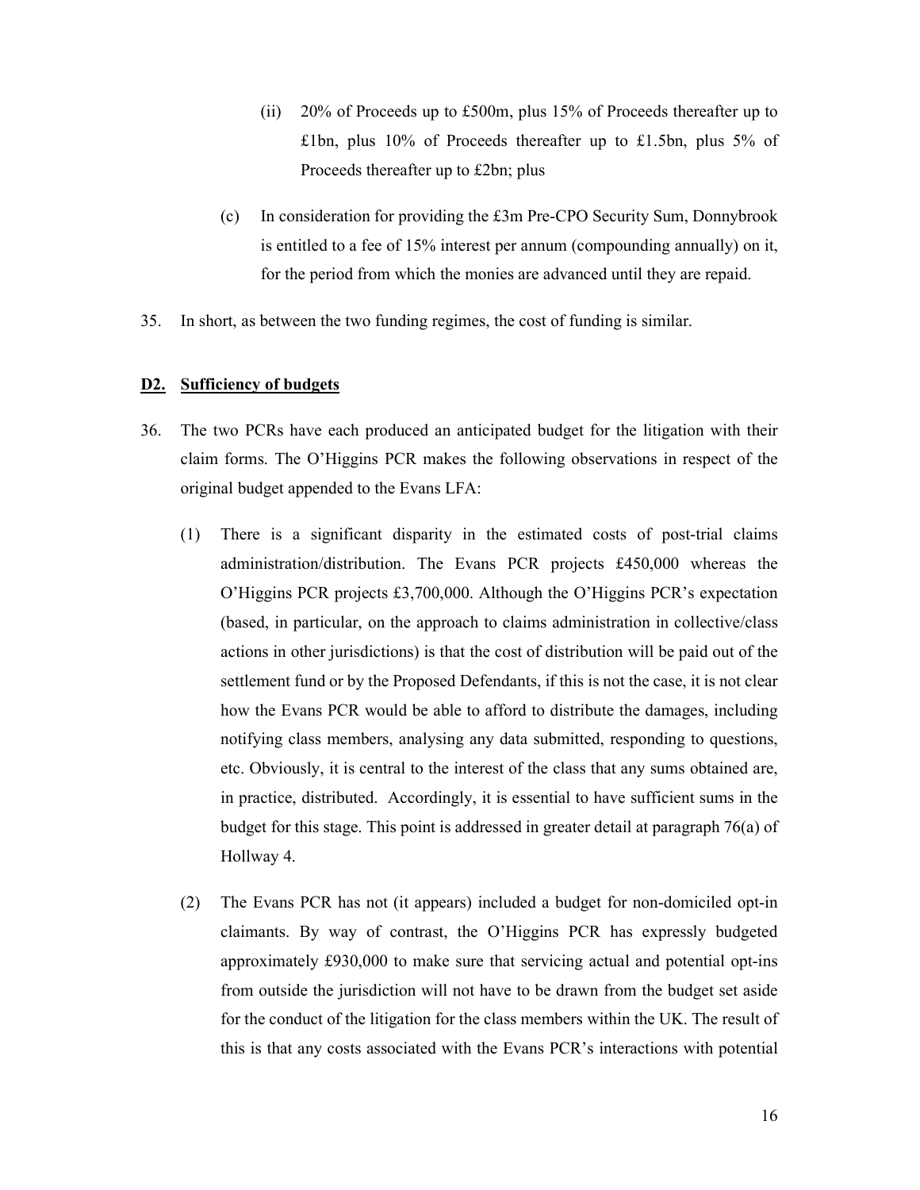- (ii) 20% of Proceeds up to £500m, plus 15% of Proceeds thereafter up to £1bn, plus 10% of Proceeds thereafter up to £1.5bn, plus 5% of Proceeds thereafter up to £2bn; plus
- (c) In consideration for providing the £3m Pre-CPO Security Sum, Donnybrook is entitled to a fee of 15% interest per annum (compounding annually) on it, for the period from which the monies are advanced until they are repaid.
- 35. In short, as between the two funding regimes, the cost of funding is similar.

### **D2. Sufficiency of budgets**

- 36. The two PCRs have each produced an anticipated budget for the litigation with their claim forms. The O'Higgins PCR makes the following observations in respect of the original budget appended to the Evans LFA:
	- (1) There is a significant disparity in the estimated costs of post-trial claims administration/distribution. The Evans PCR projects £450,000 whereas the O'Higgins PCR projects £3,700,000. Although the O'Higgins PCR's expectation (based, in particular, on the approach to claims administration in collective/class actions in other jurisdictions) is that the cost of distribution will be paid out of the settlement fund or by the Proposed Defendants, if this is not the case, it is not clear how the Evans PCR would be able to afford to distribute the damages, including notifying class members, analysing any data submitted, responding to questions, etc. Obviously, it is central to the interest of the class that any sums obtained are, in practice, distributed. Accordingly, it is essential to have sufficient sums in the budget for this stage. This point is addressed in greater detail at paragraph 76(a) of Hollway 4.
	- (2) The Evans PCR has not (it appears) included a budget for non-domiciled opt-in claimants. By way of contrast, the O'Higgins PCR has expressly budgeted approximately £930,000 to make sure that servicing actual and potential opt-ins from outside the jurisdiction will not have to be drawn from the budget set aside for the conduct of the litigation for the class members within the UK. The result of this is that any costs associated with the Evans PCR's interactions with potential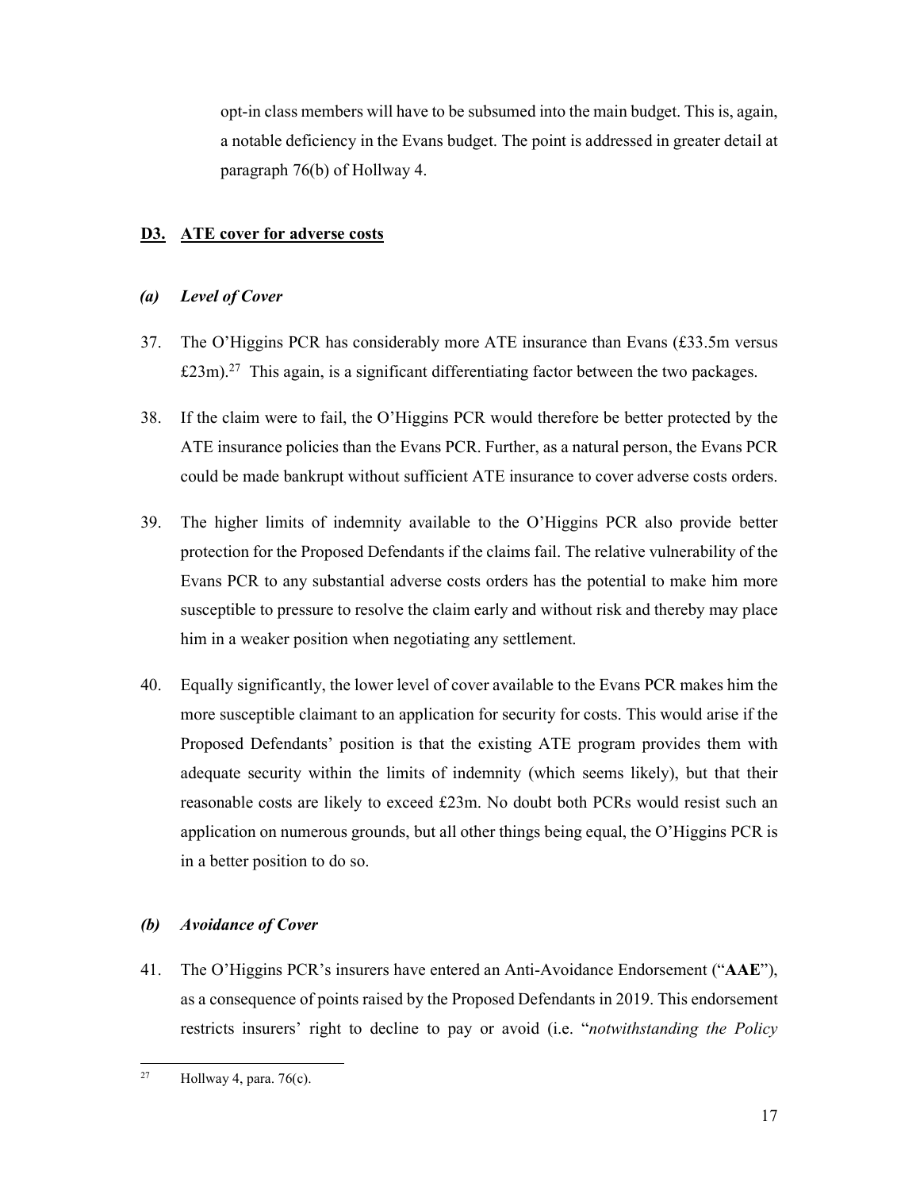opt-in class members will have to be subsumed into the main budget. This is, again, a notable deficiency in the Evans budget. The point is addressed in greater detail at paragraph 76(b) of Hollway 4.

# **D3. ATE cover for adverse costs**

# *(a) Level of Cover*

- 37. The O'Higgins PCR has considerably more ATE insurance than Evans (£33.5m versus  $£23m$ ).<sup>27</sup> This again, is a significant differentiating factor between the two packages.
- 38. If the claim were to fail, the O'Higgins PCR would therefore be better protected by the ATE insurance policies than the Evans PCR. Further, as a natural person, the Evans PCR could be made bankrupt without sufficient ATE insurance to cover adverse costs orders.
- 39. The higher limits of indemnity available to the O'Higgins PCR also provide better protection for the Proposed Defendants if the claims fail. The relative vulnerability of the Evans PCR to any substantial adverse costs orders has the potential to make him more susceptible to pressure to resolve the claim early and without risk and thereby may place him in a weaker position when negotiating any settlement.
- 40. Equally significantly, the lower level of cover available to the Evans PCR makes him the more susceptible claimant to an application for security for costs. This would arise if the Proposed Defendants' position is that the existing ATE program provides them with adequate security within the limits of indemnity (which seems likely), but that their reasonable costs are likely to exceed £23m. No doubt both PCRs would resist such an application on numerous grounds, but all other things being equal, the O'Higgins PCR is in a better position to do so.

# *(b) Avoidance of Cover*

41. The O'Higgins PCR's insurers have entered an Anti-Avoidance Endorsement ("**AAE**"), as a consequence of points raised by the Proposed Defendants in 2019. This endorsement restricts insurers' right to decline to pay or avoid (i.e. "*notwithstanding the Policy* 

 $27$ Hollway 4, para.  $76(c)$ .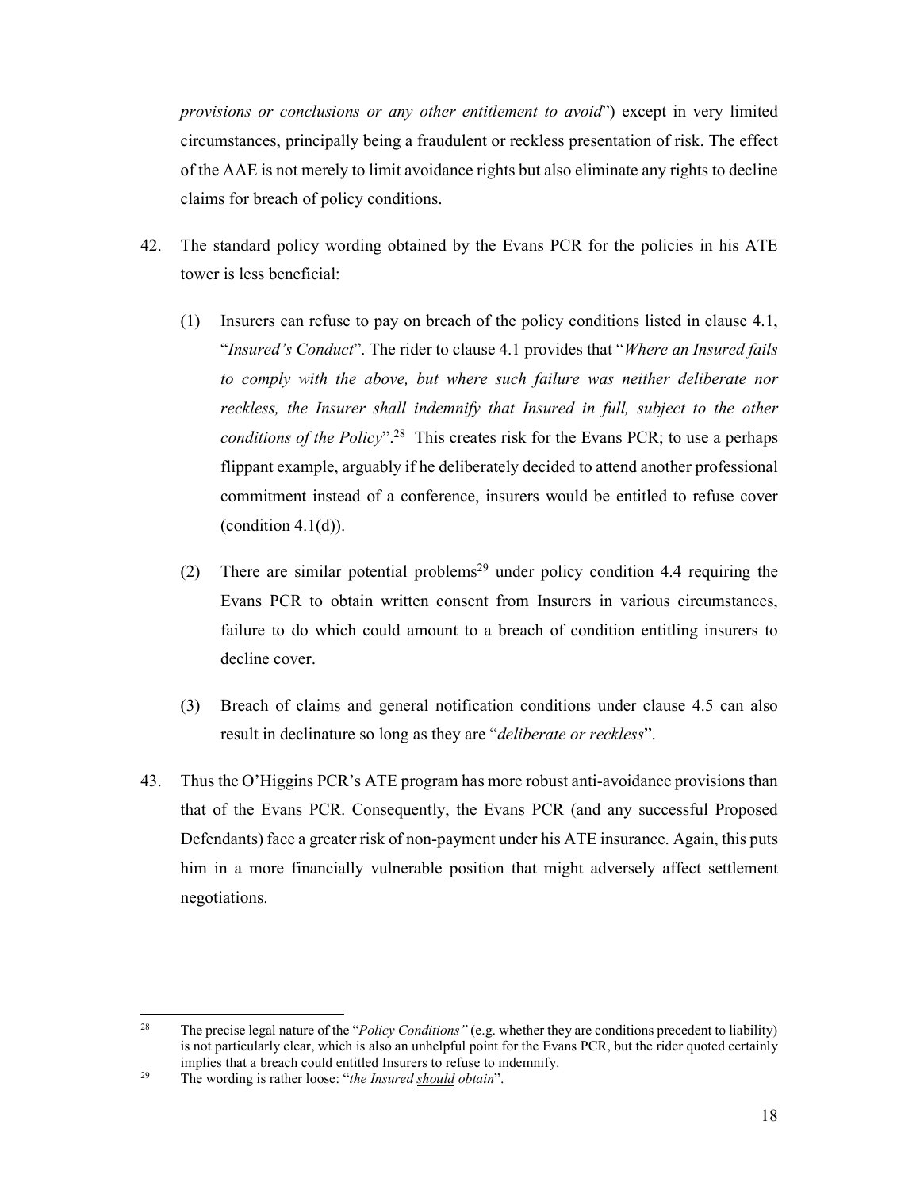*provisions or conclusions or any other entitlement to avoid*") except in very limited circumstances, principally being a fraudulent or reckless presentation of risk. The effect of the AAE is not merely to limit avoidance rights but also eliminate any rights to decline claims for breach of policy conditions.

- 42. The standard policy wording obtained by the Evans PCR for the policies in his ATE tower is less beneficial:
	- (1) Insurers can refuse to pay on breach of the policy conditions listed in clause 4.1, "*Insured's Conduct*". The rider to clause 4.1 provides that "*Where an Insured fails*  to comply with the above, but where such failure was neither deliberate nor reckless, the Insurer shall indemnify that Insured in full, subject to the other *conditions of the Policy*".28 This creates risk for the Evans PCR; to use a perhaps flippant example, arguably if he deliberately decided to attend another professional commitment instead of a conference, insurers would be entitled to refuse cover (condition  $4.1(d)$ ).
	- (2) There are similar potential problems<sup>29</sup> under policy condition 4.4 requiring the Evans PCR to obtain written consent from Insurers in various circumstances, failure to do which could amount to a breach of condition entitling insurers to decline cover.
	- (3) Breach of claims and general notification conditions under clause 4.5 can also result in declinature so long as they are "*deliberate or reckless*".
- 43. Thus the O'Higgins PCR's ATE program has more robust anti-avoidance provisions than that of the Evans PCR. Consequently, the Evans PCR (and any successful Proposed Defendants) face a greater risk of non-payment under his ATE insurance. Again, this puts him in a more financially vulnerable position that might adversely affect settlement negotiations.

<sup>28</sup> 28 The precise legal nature of the "*Policy Conditions"* (e.g. whether they are conditions precedent to liability) is not particularly clear, which is also an unhelpful point for the Evans PCR, but the rider quoted certainly implies that a breach could entitled Insurers to refuse to indemnify. 29 The wording is rather loose: "*the Insured should obtain*".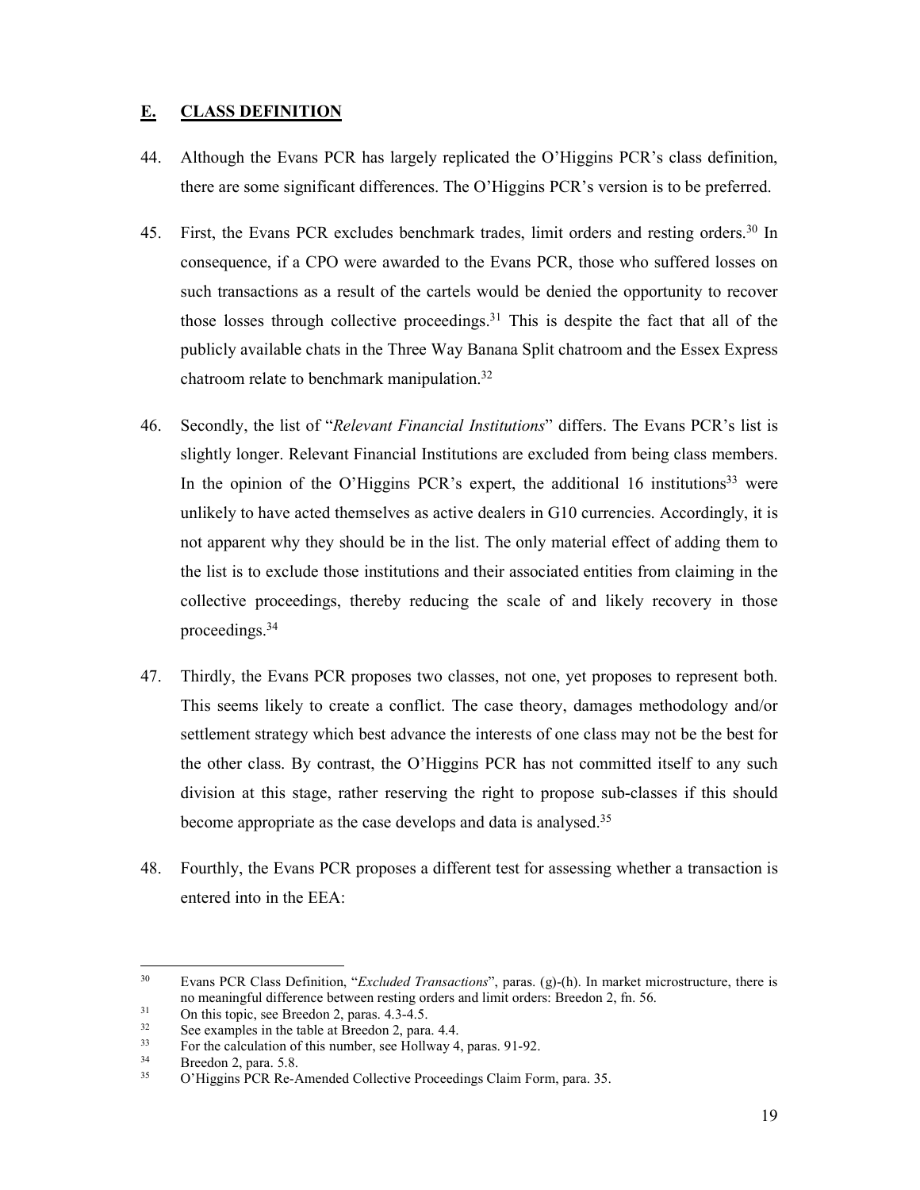# **E. CLASS DEFINITION**

- 44. Although the Evans PCR has largely replicated the O'Higgins PCR's class definition, there are some significant differences. The O'Higgins PCR's version is to be preferred.
- 45. First, the Evans PCR excludes benchmark trades, limit orders and resting orders.<sup>30</sup> In consequence, if a CPO were awarded to the Evans PCR, those who suffered losses on such transactions as a result of the cartels would be denied the opportunity to recover those losses through collective proceedings.<sup>31</sup> This is despite the fact that all of the publicly available chats in the Three Way Banana Split chatroom and the Essex Express chatroom relate to benchmark manipulation.32
- 46. Secondly, the list of "*Relevant Financial Institutions*" differs. The Evans PCR's list is slightly longer. Relevant Financial Institutions are excluded from being class members. In the opinion of the O'Higgins PCR's expert, the additional 16 institutions<sup>33</sup> were unlikely to have acted themselves as active dealers in G10 currencies. Accordingly, it is not apparent why they should be in the list. The only material effect of adding them to the list is to exclude those institutions and their associated entities from claiming in the collective proceedings, thereby reducing the scale of and likely recovery in those proceedings.<sup>34</sup>
- 47. Thirdly, the Evans PCR proposes two classes, not one, yet proposes to represent both. This seems likely to create a conflict. The case theory, damages methodology and/or settlement strategy which best advance the interests of one class may not be the best for the other class. By contrast, the O'Higgins PCR has not committed itself to any such division at this stage, rather reserving the right to propose sub-classes if this should become appropriate as the case develops and data is analysed.<sup>35</sup>
- 48. Fourthly, the Evans PCR proposes a different test for assessing whether a transaction is entered into in the EEA:

1

<sup>30</sup> Evans PCR Class Definition, "*Excluded Transactions*", paras. (g)-(h). In market microstructure, there is no meaningful difference between resting orders and limit orders: Breedon 2, fn. 56.<br>31 On this topic, see Breedon 2, paras. 4.3-4.5.<br>See examples in the table at Breedon 2, para 4.4

<sup>&</sup>lt;sup>32</sup> See examples in the table at Breedon 2, para. 4.4.<br><sup>33</sup> For the calculation of this number, see Hollway 4.

<sup>33</sup> For the calculation of this number, see Hollway 4, paras. 91-92.<br>Breedon 2, para. 5.8.<br> $\frac{35}{4}$  Breedon 2, para. 5.8.

<sup>35</sup> O'Higgins PCR Re-Amended Collective Proceedings Claim Form, para. 35.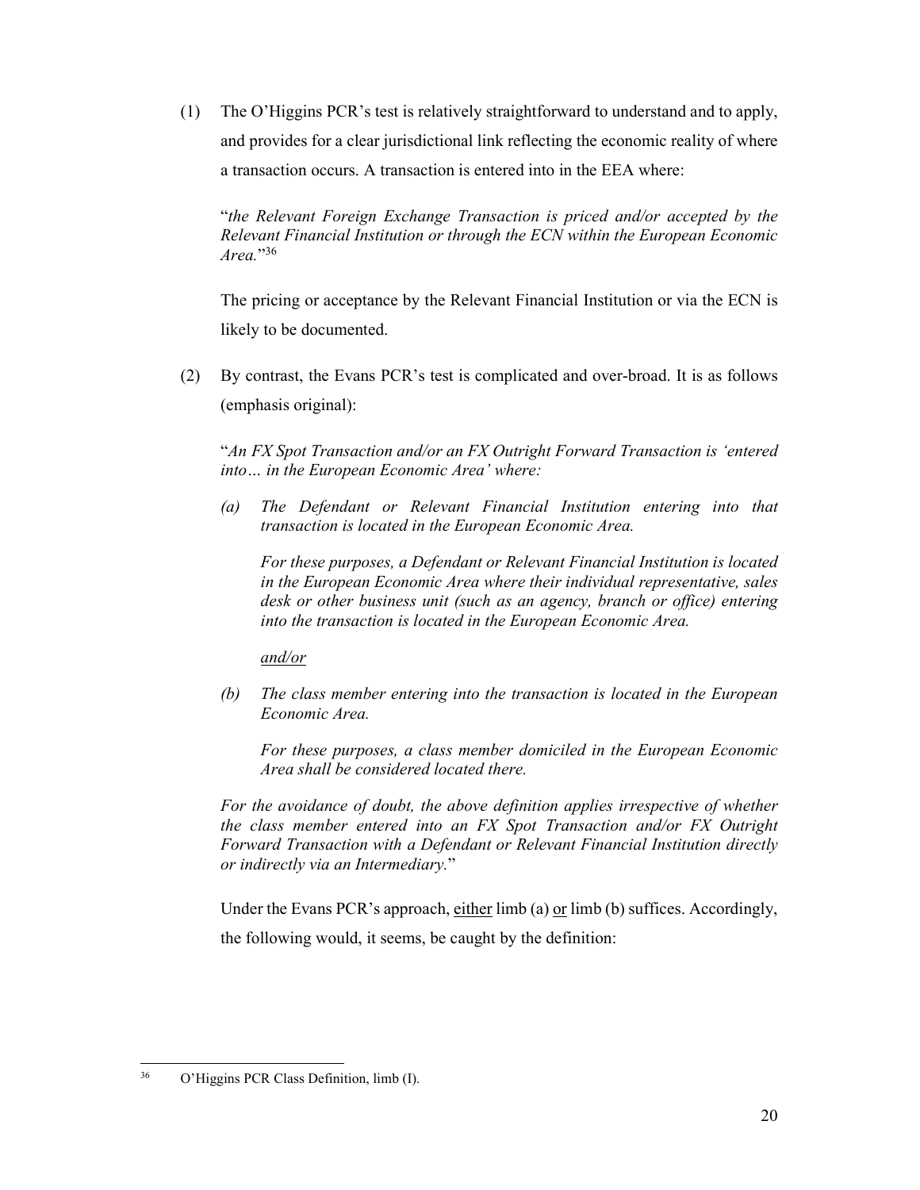(1) The O'Higgins PCR's test is relatively straightforward to understand and to apply, and provides for a clear jurisdictional link reflecting the economic reality of where a transaction occurs. A transaction is entered into in the EEA where:

"*the Relevant Foreign Exchange Transaction is priced and/or accepted by the Relevant Financial Institution or through the ECN within the European Economic Area.*"36

The pricing or acceptance by the Relevant Financial Institution or via the ECN is likely to be documented.

(2) By contrast, the Evans PCR's test is complicated and over-broad. It is as follows (emphasis original):

"*An FX Spot Transaction and/or an FX Outright Forward Transaction is 'entered into… in the European Economic Area' where:* 

*(a) The Defendant or Relevant Financial Institution entering into that transaction is located in the European Economic Area.* 

*For these purposes, a Defendant or Relevant Financial Institution is located in the European Economic Area where their individual representative, sales desk or other business unit (such as an agency, branch or office) entering into the transaction is located in the European Economic Area.* 

*and/or* 

*(b) The class member entering into the transaction is located in the European Economic Area.* 

*For these purposes, a class member domiciled in the European Economic Area shall be considered located there.* 

For the avoidance of doubt, the above definition applies irrespective of whether *the class member entered into an FX Spot Transaction and/or FX Outright Forward Transaction with a Defendant or Relevant Financial Institution directly or indirectly via an Intermediary.*"

Under the Evans PCR's approach, either  $\lim b(a)$  or  $\lim b(b)$  suffices. Accordingly, the following would, it seems, be caught by the definition:

<sup>36</sup> 36 O'Higgins PCR Class Definition, limb (I).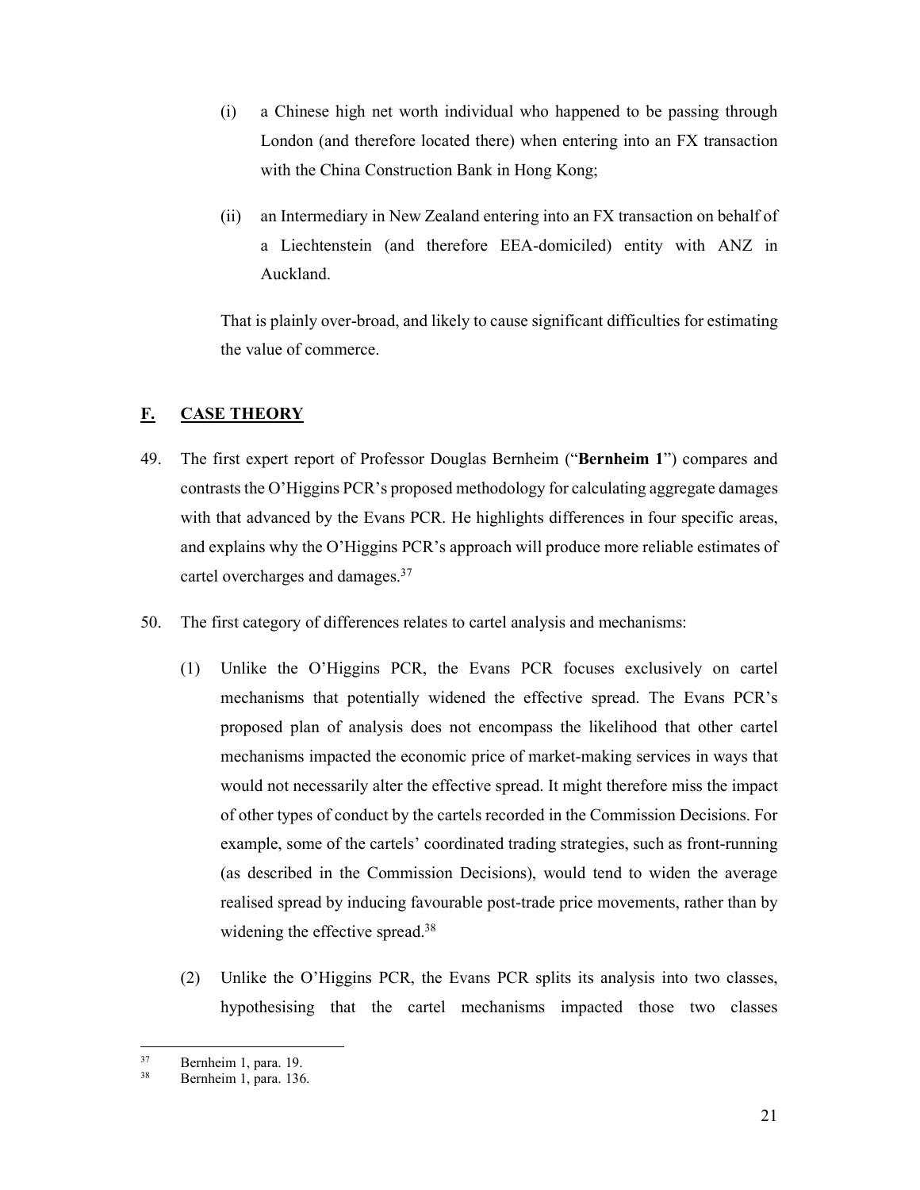- (i) a Chinese high net worth individual who happened to be passing through London (and therefore located there) when entering into an FX transaction with the China Construction Bank in Hong Kong;
- (ii) an Intermediary in New Zealand entering into an FX transaction on behalf of a Liechtenstein (and therefore EEA-domiciled) entity with ANZ in Auckland.

That is plainly over-broad, and likely to cause significant difficulties for estimating the value of commerce.

# **F. CASE THEORY**

- 49. The first expert report of Professor Douglas Bernheim ("**Bernheim 1**") compares and contrasts the O'Higgins PCR's proposed methodology for calculating aggregate damages with that advanced by the Evans PCR. He highlights differences in four specific areas, and explains why the O'Higgins PCR's approach will produce more reliable estimates of cartel overcharges and damages.37
- 50. The first category of differences relates to cartel analysis and mechanisms:
	- (1) Unlike the O'Higgins PCR, the Evans PCR focuses exclusively on cartel mechanisms that potentially widened the effective spread. The Evans PCR's proposed plan of analysis does not encompass the likelihood that other cartel mechanisms impacted the economic price of market-making services in ways that would not necessarily alter the effective spread. It might therefore miss the impact of other types of conduct by the cartels recorded in the Commission Decisions. For example, some of the cartels' coordinated trading strategies, such as front-running (as described in the Commission Decisions), would tend to widen the average realised spread by inducing favourable post-trade price movements, rather than by widening the effective spread.<sup>38</sup>
	- (2) Unlike the O'Higgins PCR, the Evans PCR splits its analysis into two classes, hypothesising that the cartel mechanisms impacted those two classes

<sup>37</sup>  $37$  Bernheim 1, para. 19.

Bernheim 1, para. 136.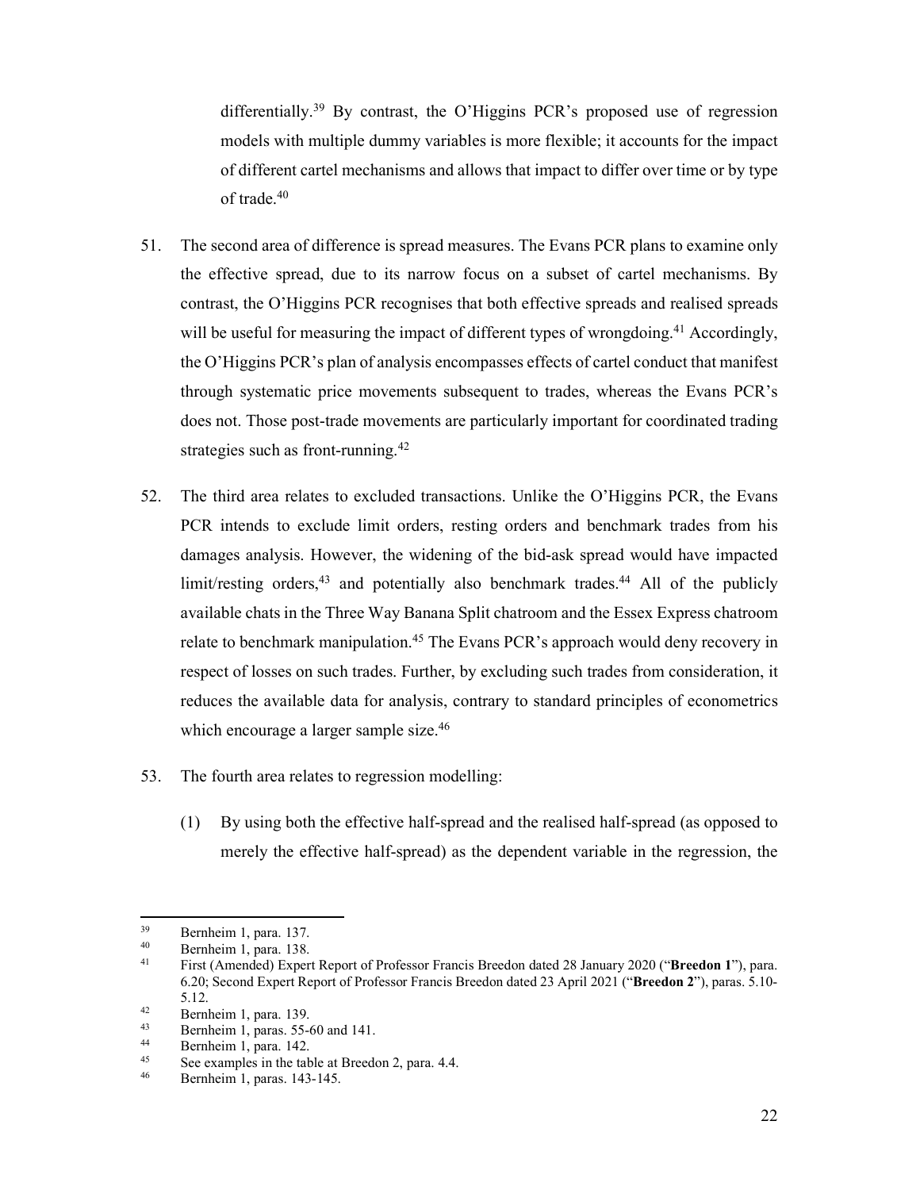differentially.<sup>39</sup> By contrast, the O'Higgins PCR's proposed use of regression models with multiple dummy variables is more flexible; it accounts for the impact of different cartel mechanisms and allows that impact to differ over time or by type of trade.40

- 51. The second area of difference is spread measures. The Evans PCR plans to examine only the effective spread, due to its narrow focus on a subset of cartel mechanisms. By contrast, the O'Higgins PCR recognises that both effective spreads and realised spreads will be useful for measuring the impact of different types of wrongdoing.<sup>41</sup> Accordingly, the O'Higgins PCR's plan of analysis encompasses effects of cartel conduct that manifest through systematic price movements subsequent to trades, whereas the Evans PCR's does not. Those post-trade movements are particularly important for coordinated trading strategies such as front-running.<sup>42</sup>
- 52. The third area relates to excluded transactions. Unlike the O'Higgins PCR, the Evans PCR intends to exclude limit orders, resting orders and benchmark trades from his damages analysis. However, the widening of the bid-ask spread would have impacted  $\text{limit/resting orders},^{43}$  and potentially also benchmark trades.<sup>44</sup> All of the publicly available chats in the Three Way Banana Split chatroom and the Essex Express chatroom relate to benchmark manipulation.<sup>45</sup> The Evans PCR's approach would deny recovery in respect of losses on such trades. Further, by excluding such trades from consideration, it reduces the available data for analysis, contrary to standard principles of econometrics which encourage a larger sample size.<sup>46</sup>
- 53. The fourth area relates to regression modelling:
	- (1) By using both the effective half-spread and the realised half-spread (as opposed to merely the effective half-spread) as the dependent variable in the regression, the

**.** 

 $39$  Bernheim 1, para. 137.

 $^{40}$  Bernheim 1, para. 138.

<sup>41</sup> First (Amended) Expert Report of Professor Francis Breedon dated 28 January 2020 ("**Breedon 1**"), para. 6.20; Second Expert Report of Professor Francis Breedon dated 23 April 2021 ("**Breedon 2**"), paras. 5.10- 5.12.<br>
<sup>42</sup> Bernheim 1, para. 139.<br>
Bernheim 1 paras. 55-

 $^{43}$  Bernheim 1, paras. 55-60 and 141.

 $^{44}$  Bernheim 1, para. 142.

<sup>&</sup>lt;sup>45</sup> See examples in the table at Breedon 2, para.  $4.4$ .<br><sup>46</sup> Pambaim 1, para.  $142, 145$ 

<sup>46</sup> Bernheim 1, paras. 143-145.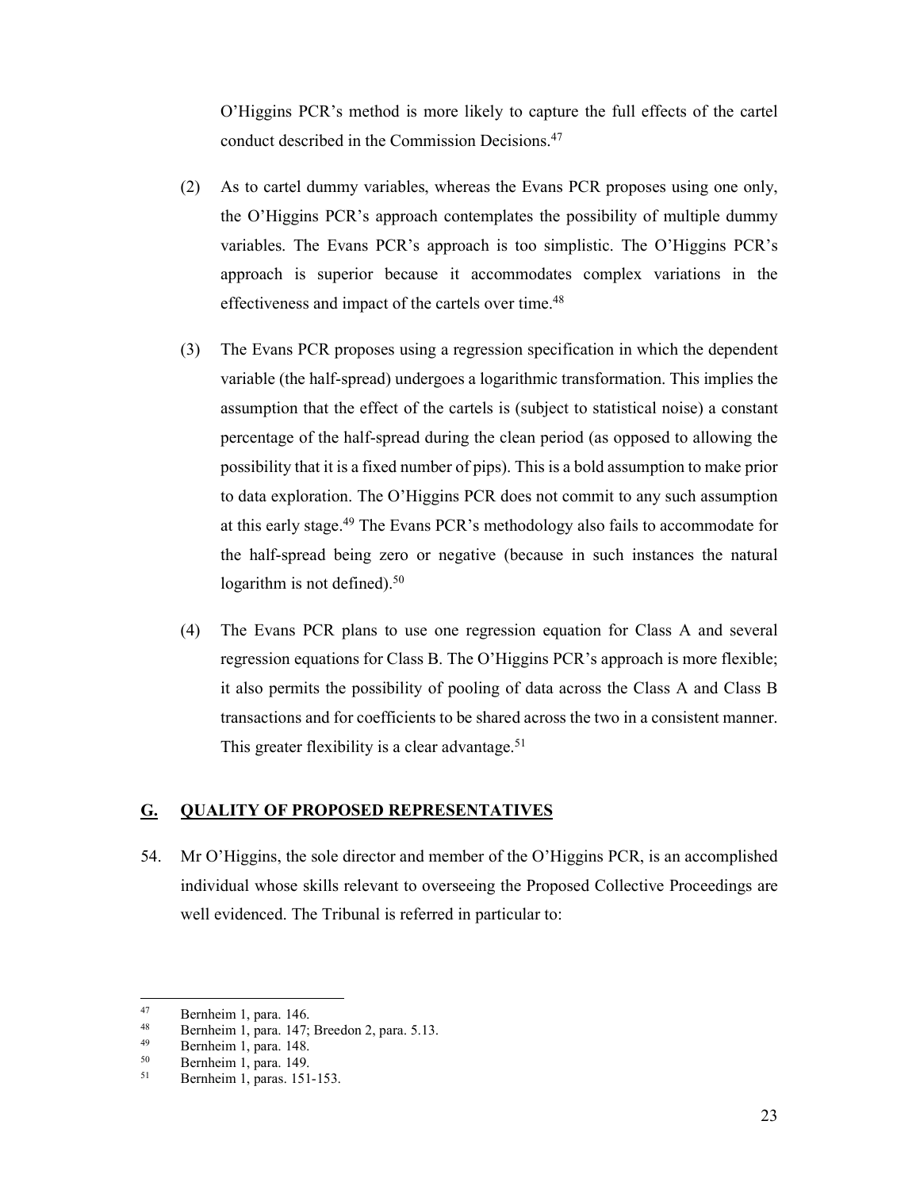O'Higgins PCR's method is more likely to capture the full effects of the cartel conduct described in the Commission Decisions.47

- (2) As to cartel dummy variables, whereas the Evans PCR proposes using one only, the O'Higgins PCR's approach contemplates the possibility of multiple dummy variables. The Evans PCR's approach is too simplistic. The O'Higgins PCR's approach is superior because it accommodates complex variations in the effectiveness and impact of the cartels over time.<sup>48</sup>
- (3) The Evans PCR proposes using a regression specification in which the dependent variable (the half-spread) undergoes a logarithmic transformation. This implies the assumption that the effect of the cartels is (subject to statistical noise) a constant percentage of the half-spread during the clean period (as opposed to allowing the possibility that it is a fixed number of pips). This is a bold assumption to make prior to data exploration. The O'Higgins PCR does not commit to any such assumption at this early stage.<sup>49</sup> The Evans PCR's methodology also fails to accommodate for the half-spread being zero or negative (because in such instances the natural logarithm is not defined). $50$
- (4) The Evans PCR plans to use one regression equation for Class A and several regression equations for Class B. The O'Higgins PCR's approach is more flexible; it also permits the possibility of pooling of data across the Class A and Class B transactions and for coefficients to be shared across the two in a consistent manner. This greater flexibility is a clear advantage.<sup>51</sup>

### **G. QUALITY OF PROPOSED REPRESENTATIVES**

54. Mr O'Higgins, the sole director and member of the O'Higgins PCR, is an accomplished individual whose skills relevant to overseeing the Proposed Collective Proceedings are well evidenced. The Tribunal is referred in particular to:

<sup>47</sup>  $^{47}$  Bernheim 1, para. 146.<br> $^{48}$  Bernheim 1, para. 147.

 $^{48}$  Bernheim 1, para. 147; Breedon 2, para. 5.13.<br> $^{49}$  Bernheim 1, para. 148

 $^{49}$  Bernheim 1, para. 148.<br> $^{50}$  Bernheim 1, para. 140

 $^{50}$  Bernheim 1, para. 149.

<sup>51</sup> Bernheim 1, paras. 151-153.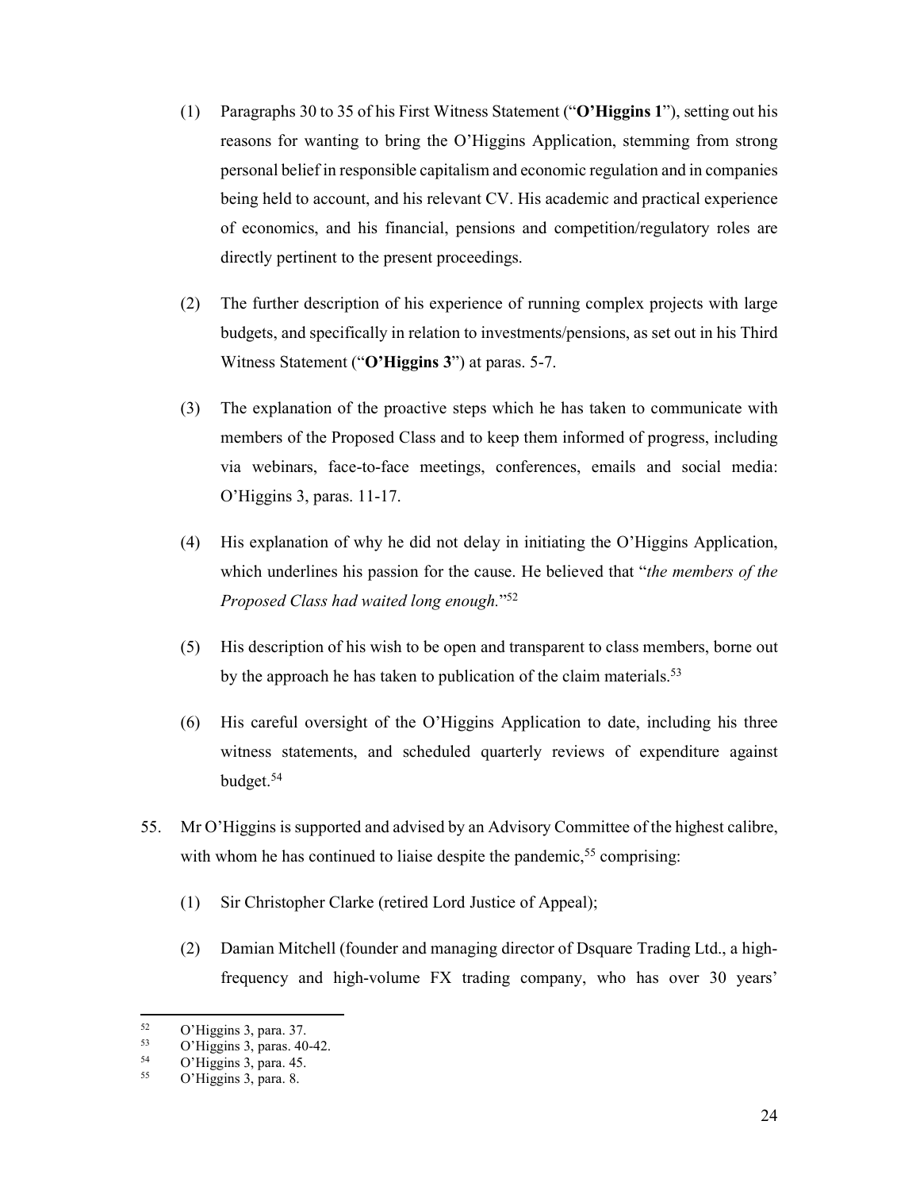- (1) Paragraphs 30 to 35 of his First Witness Statement ("**O'Higgins 1**"), setting out his reasons for wanting to bring the O'Higgins Application, stemming from strong personal belief in responsible capitalism and economic regulation and in companies being held to account, and his relevant CV. His academic and practical experience of economics, and his financial, pensions and competition/regulatory roles are directly pertinent to the present proceedings.
- (2) The further description of his experience of running complex projects with large budgets, and specifically in relation to investments/pensions, as set out in his Third Witness Statement ("**O'Higgins 3**") at paras. 5-7.
- (3) The explanation of the proactive steps which he has taken to communicate with members of the Proposed Class and to keep them informed of progress, including via webinars, face-to-face meetings, conferences, emails and social media: O'Higgins 3, paras. 11-17.
- (4) His explanation of why he did not delay in initiating the O'Higgins Application, which underlines his passion for the cause. He believed that "*the members of the Proposed Class had waited long enough.*"52
- (5) His description of his wish to be open and transparent to class members, borne out by the approach he has taken to publication of the claim materials.<sup>53</sup>
- (6) His careful oversight of the O'Higgins Application to date, including his three witness statements, and scheduled quarterly reviews of expenditure against budget.54
- 55. Mr O'Higgins is supported and advised by an Advisory Committee of the highest calibre, with whom he has continued to liaise despite the pandemic,<sup>55</sup> comprising:
	- (1) Sir Christopher Clarke (retired Lord Justice of Appeal);
	- (2) Damian Mitchell (founder and managing director of Dsquare Trading Ltd., a highfrequency and high-volume FX trading company, who has over 30 years'

<sup>52</sup>  $^{52}$  O'Higgins 3, para. 37.<br>
O'Higgins 3, paras. 40

 $^{53}$  O'Higgins 3, paras. 40-42.<br> $^{54}$  O'Higgins 3, para 45

 $^{54}$  O'Higgins 3, para. 45.

O'Higgins 3, para. 8.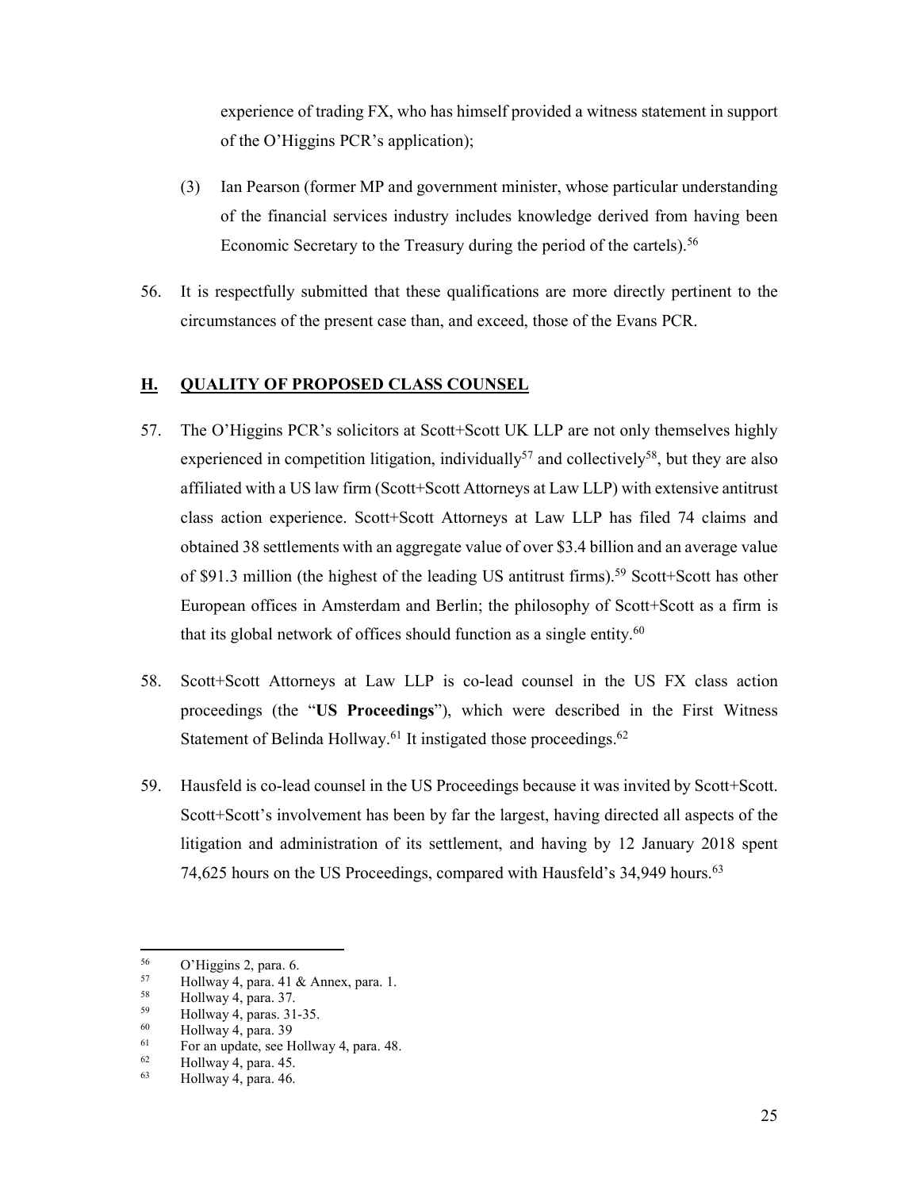experience of trading FX, who has himself provided a witness statement in support of the O'Higgins PCR's application);

- (3) Ian Pearson (former MP and government minister, whose particular understanding of the financial services industry includes knowledge derived from having been Economic Secretary to the Treasury during the period of the cartels).<sup>56</sup>
- 56. It is respectfully submitted that these qualifications are more directly pertinent to the circumstances of the present case than, and exceed, those of the Evans PCR.

## **H. QUALITY OF PROPOSED CLASS COUNSEL**

- 57. The O'Higgins PCR's solicitors at Scott+Scott UK LLP are not only themselves highly experienced in competition litigation, individually<sup>57</sup> and collectively<sup>58</sup>, but they are also affiliated with a US law firm (Scott+Scott Attorneys at Law LLP) with extensive antitrust class action experience. Scott+Scott Attorneys at Law LLP has filed 74 claims and obtained 38 settlements with an aggregate value of over \$3.4 billion and an average value of \$91.3 million (the highest of the leading US antitrust firms).<sup>59</sup> Scott+Scott has other European offices in Amsterdam and Berlin; the philosophy of Scott+Scott as a firm is that its global network of offices should function as a single entity.<sup>60</sup>
- 58. Scott+Scott Attorneys at Law LLP is co-lead counsel in the US FX class action proceedings (the "**US Proceedings**"), which were described in the First Witness Statement of Belinda Hollway.<sup>61</sup> It instigated those proceedings.<sup>62</sup>
- 59. Hausfeld is co-lead counsel in the US Proceedings because it was invited by Scott+Scott. Scott+Scott's involvement has been by far the largest, having directed all aspects of the litigation and administration of its settlement, and having by 12 January 2018 spent 74,625 hours on the US Proceedings, compared with Hausfeld's 34,949 hours.<sup>63</sup>

<sup>56</sup>  $^{56}$  O'Higgins 2, para. 6.<br> $^{57}$  Hollway 4, para. 41.8

 $^{57}$  Hollway 4, para. 41 & Annex, para. 1.<br> $^{58}$  Hollway 4, para. 37

 $^{58}$  Hollway 4, para. 37.<br> $^{59}$  Hollway 4 paras 31.

 $^{59}$  Hollway 4, paras. 31-35.<br> $^{60}$  Hollway 4, para. 30

 $^{60}$  Hollway 4, para. 39<br> $^{61}$  For an undate see H

 $^{61}$  For an update, see Hollway 4, para. 48.

 $^{62}$  Hollway 4, para. 45.

Hollway 4, para. 46.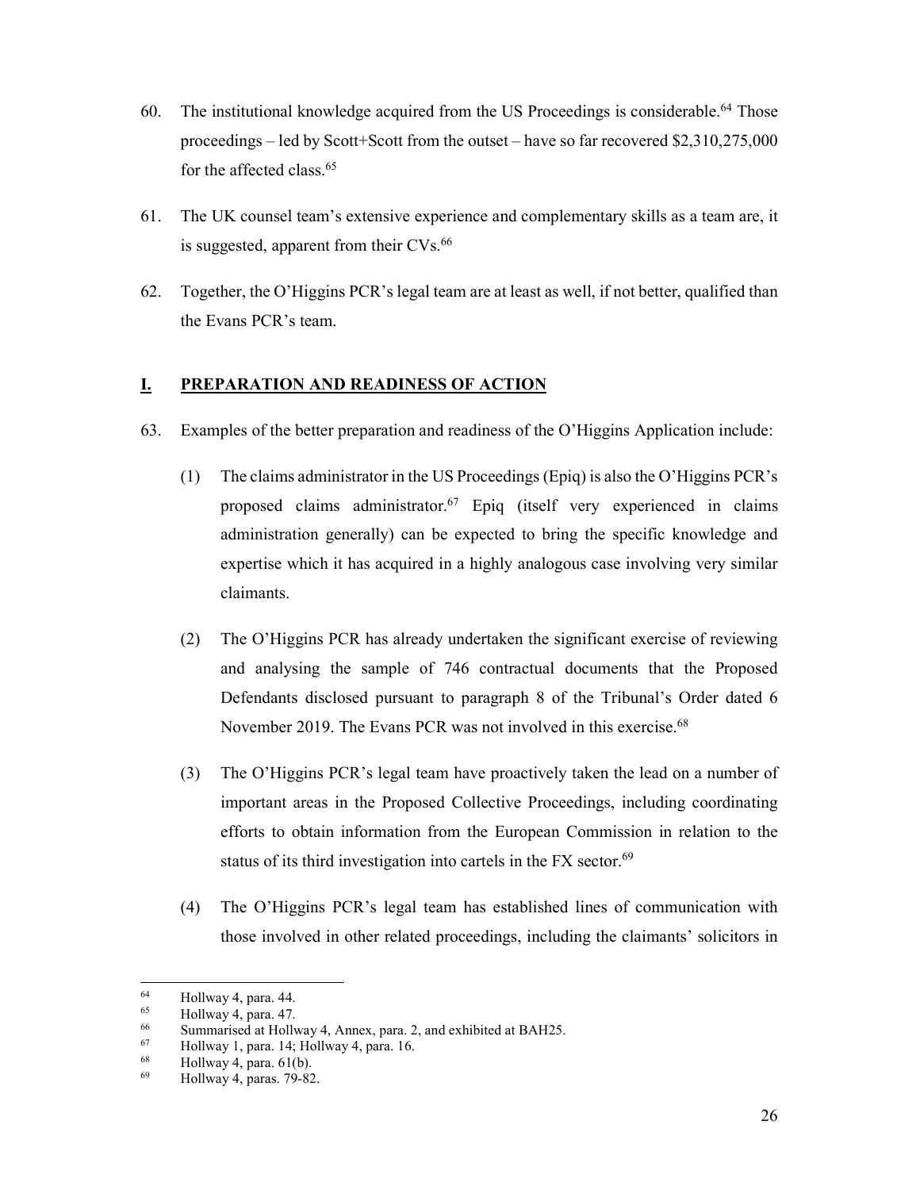- 60. The institutional knowledge acquired from the US Proceedings is considerable.64 Those proceedings – led by Scott+Scott from the outset – have so far recovered \$2,310,275,000 for the affected class.65
- 61. The UK counsel team's extensive experience and complementary skills as a team are, it is suggested, apparent from their CVs.<sup>66</sup>
- 62. Together, the O'Higgins PCR's legal team are at least as well, if not better, qualified than the Evans PCR's team.

# **I. PREPARATION AND READINESS OF ACTION**

- 63. Examples of the better preparation and readiness of the O'Higgins Application include:
	- (1) The claims administrator in the US Proceedings (Epiq) is also the O'Higgins PCR's proposed claims administrator.<sup>67</sup> Epiq (itself very experienced in claims administration generally) can be expected to bring the specific knowledge and expertise which it has acquired in a highly analogous case involving very similar claimants.
	- (2) The O'Higgins PCR has already undertaken the significant exercise of reviewing and analysing the sample of 746 contractual documents that the Proposed Defendants disclosed pursuant to paragraph 8 of the Tribunal's Order dated 6 November 2019. The Evans PCR was not involved in this exercise.<sup>68</sup>
	- (3) The O'Higgins PCR's legal team have proactively taken the lead on a number of important areas in the Proposed Collective Proceedings, including coordinating efforts to obtain information from the European Commission in relation to the status of its third investigation into cartels in the FX sector.<sup>69</sup>
	- (4) The O'Higgins PCR's legal team has established lines of communication with those involved in other related proceedings, including the claimants' solicitors in

<sup>1</sup>  $^{64}$  Hollway 4, para. 44.

 $^{65}$  Hollway 4, para. 47.

<sup>66</sup> Summarised at Hollway 4, Annex, para. 2, and exhibited at BAH25.<br>  $\frac{67}{68}$  Hollway 1, para. 14; Hollway 4, para. 16.

 $^{68}$  Hollway 4, para. 61(b).<br> $^{69}$  Hollway 4, paras. 70. 82

<sup>69</sup> Hollway 4, paras. 79-82.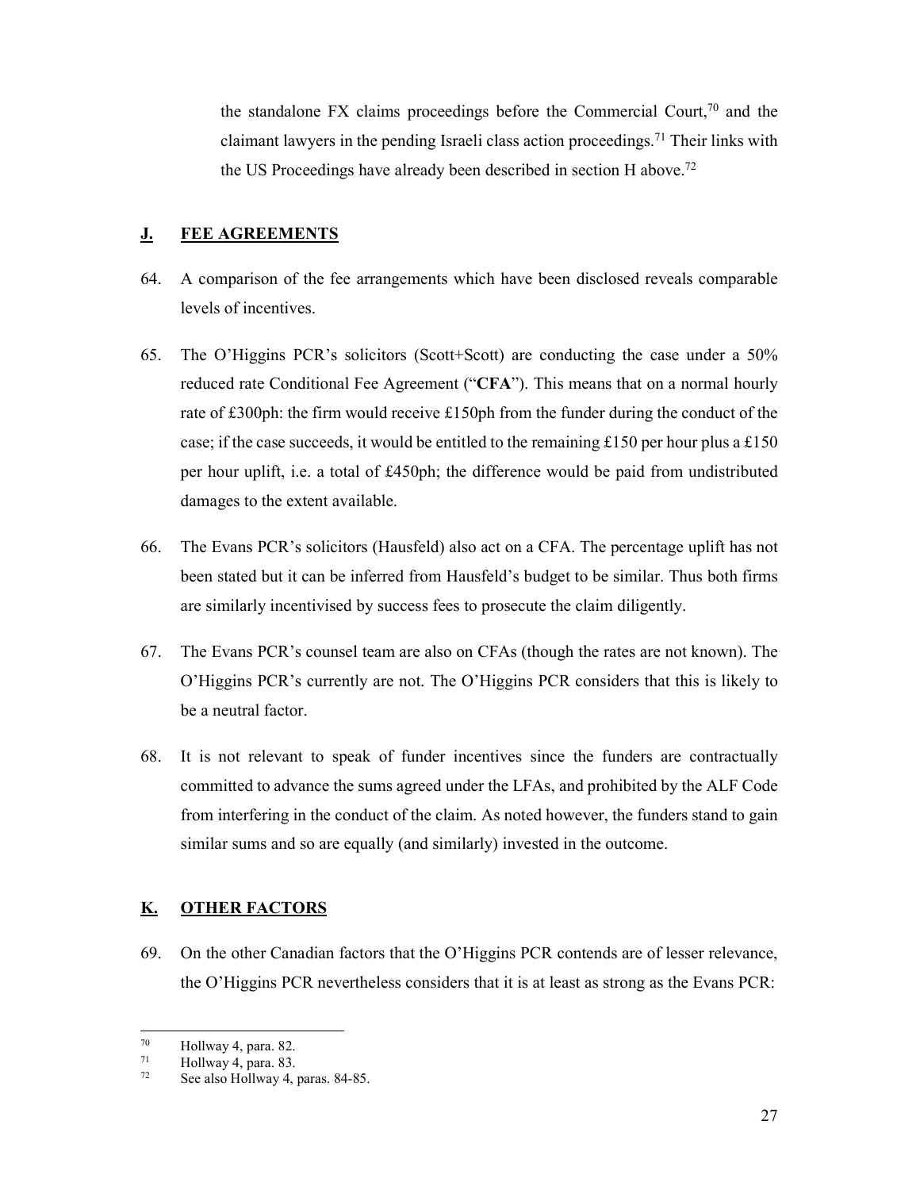the standalone FX claims proceedings before the Commercial Court,  $70$  and the claimant lawyers in the pending Israeli class action proceedings.<sup>71</sup> Their links with the US Proceedings have already been described in section H above.<sup>72</sup>

## **J. FEE AGREEMENTS**

- 64. A comparison of the fee arrangements which have been disclosed reveals comparable levels of incentives.
- 65. The O'Higgins PCR's solicitors (Scott+Scott) are conducting the case under a 50% reduced rate Conditional Fee Agreement ("**CFA**"). This means that on a normal hourly rate of £300ph: the firm would receive £150ph from the funder during the conduct of the case; if the case succeeds, it would be entitled to the remaining £150 per hour plus a £150 per hour uplift, i.e. a total of £450ph; the difference would be paid from undistributed damages to the extent available.
- 66. The Evans PCR's solicitors (Hausfeld) also act on a CFA. The percentage uplift has not been stated but it can be inferred from Hausfeld's budget to be similar. Thus both firms are similarly incentivised by success fees to prosecute the claim diligently.
- 67. The Evans PCR's counsel team are also on CFAs (though the rates are not known). The O'Higgins PCR's currently are not. The O'Higgins PCR considers that this is likely to be a neutral factor.
- 68. It is not relevant to speak of funder incentives since the funders are contractually committed to advance the sums agreed under the LFAs, and prohibited by the ALF Code from interfering in the conduct of the claim. As noted however, the funders stand to gain similar sums and so are equally (and similarly) invested in the outcome.

## **K. OTHER FACTORS**

69. On the other Canadian factors that the O'Higgins PCR contends are of lesser relevance, the O'Higgins PCR nevertheless considers that it is at least as strong as the Evans PCR:

<sup>70</sup>  $^{70}$  Hollway 4, para. 82.

 $^{71}$  Hollway 4, para. 83.

See also Hollway 4, paras. 84-85.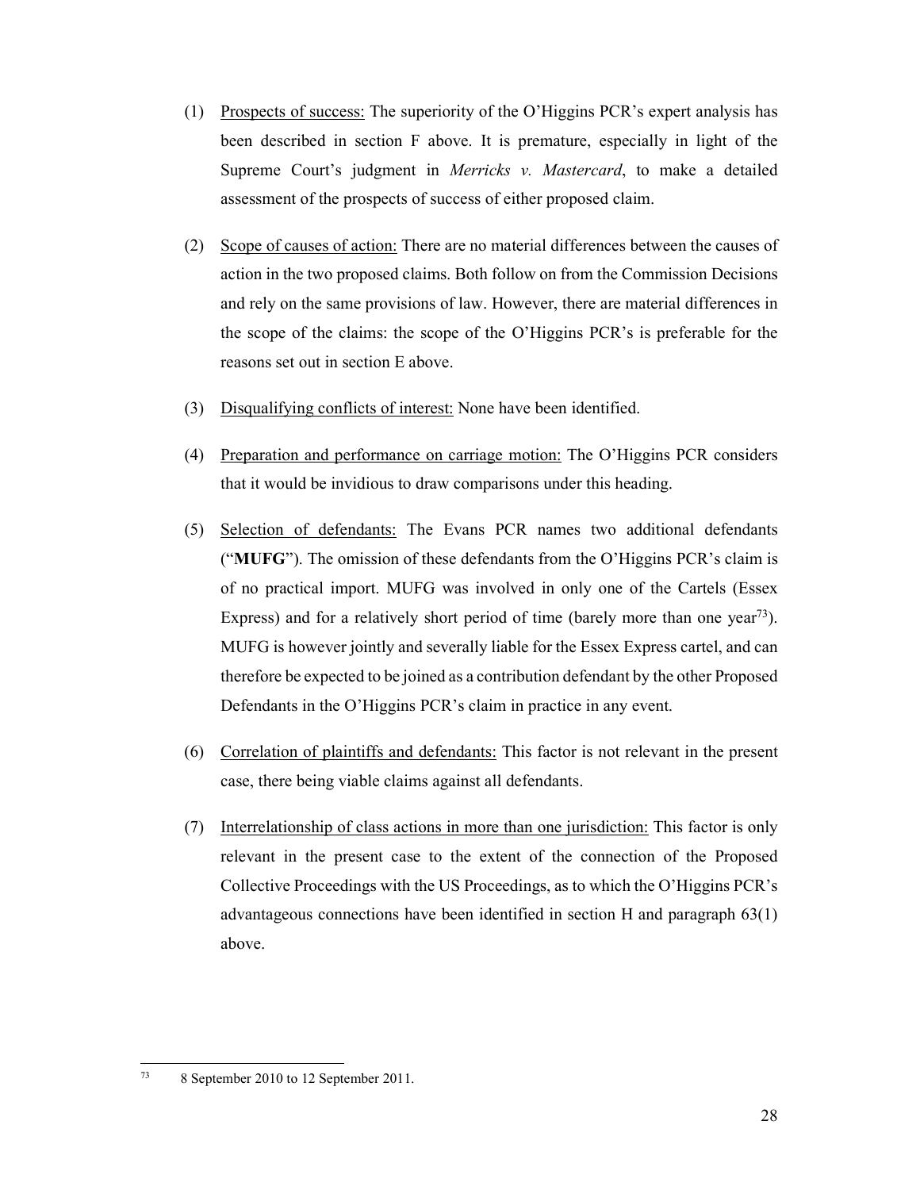- (1) Prospects of success: The superiority of the O'Higgins PCR's expert analysis has been described in section F above. It is premature, especially in light of the Supreme Court's judgment in *Merricks v. Mastercard*, to make a detailed assessment of the prospects of success of either proposed claim.
- (2) Scope of causes of action: There are no material differences between the causes of action in the two proposed claims. Both follow on from the Commission Decisions and rely on the same provisions of law. However, there are material differences in the scope of the claims: the scope of the O'Higgins PCR's is preferable for the reasons set out in section E above.
- (3) Disqualifying conflicts of interest: None have been identified.
- (4) Preparation and performance on carriage motion: The O'Higgins PCR considers that it would be invidious to draw comparisons under this heading.
- (5) Selection of defendants: The Evans PCR names two additional defendants ("**MUFG**"). The omission of these defendants from the O'Higgins PCR's claim is of no practical import. MUFG was involved in only one of the Cartels (Essex Express) and for a relatively short period of time (barely more than one year<sup>73</sup>). MUFG is however jointly and severally liable for the Essex Express cartel, and can therefore be expected to be joined as a contribution defendant by the other Proposed Defendants in the O'Higgins PCR's claim in practice in any event.
- (6) Correlation of plaintiffs and defendants: This factor is not relevant in the present case, there being viable claims against all defendants.
- (7) Interrelationship of class actions in more than one jurisdiction: This factor is only relevant in the present case to the extent of the connection of the Proposed Collective Proceedings with the US Proceedings, as to which the O'Higgins PCR's advantageous connections have been identified in section H and paragraph 63(1) above.

 $73$ 73 8 September 2010 to 12 September 2011.